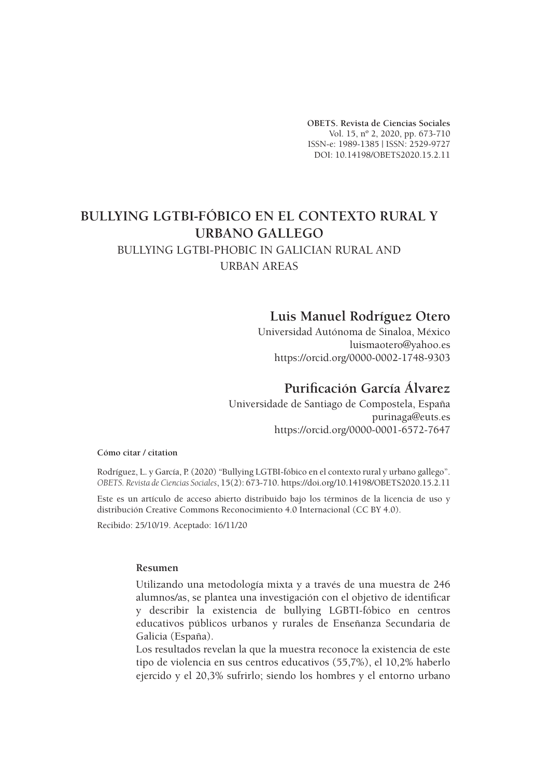**OBETS. Revista de Ciencias Sociales** Vol. 15, nº 2, 2020, pp. 673-710 ISSN-e: 1989-1385 | ISSN: 2529-9727 DOI: 10.14198/OBETS2020.15.2.11

# **BULLYING LGTBI-FÓBICO EN EL CONTEXTO RURAL Y URBANO GALLEGO**

# BULLYING LGTBI-PHOBIC IN GALICIAN RURAL AND URBAN AREAS

# **Luis Manuel Rodríguez Otero**

Universidad Autónoma de Sinaloa, México luismaotero@yahoo.es https://orcid.org/0000-0002-1748-9303

# **Purificación García Álvarez**

Universidade de Santiago de Compostela, España purinaga@euts.es https://orcid.org/0000-0001-6572-7647

#### **Cómo citar / citation**

Rodríguez, L. y García, P. (2020) "Bullying LGTBI-fóbico en el contexto rural y urbano gallego". *OBETS. Revista de Ciencias Sociales*, 15(2): 673-710. https://doi.org/10.14198/OBETS2020.15.2.11

Este es un artículo de acceso abierto distribuido bajo los términos de la licencia de uso y distribución Creative Commons Reconocimiento 4.0 Internacional (CC BY 4.0).

Recibido: 25/10/19. Aceptado: 16/11/20

#### **Resumen**

Utilizando una metodología mixta y a través de una muestra de 246 alumnos/as, se plantea una investigación con el objetivo de identificar y describir la existencia de bullying LGBTI-fóbico en centros educativos públicos urbanos y rurales de Enseñanza Secundaria de Galicia (España).

Los resultados revelan la que la muestra reconoce la existencia de este tipo de violencia en sus centros educativos (55,7%), el 10,2% haberlo ejercido y el 20,3% sufrirlo; siendo los hombres y el entorno urbano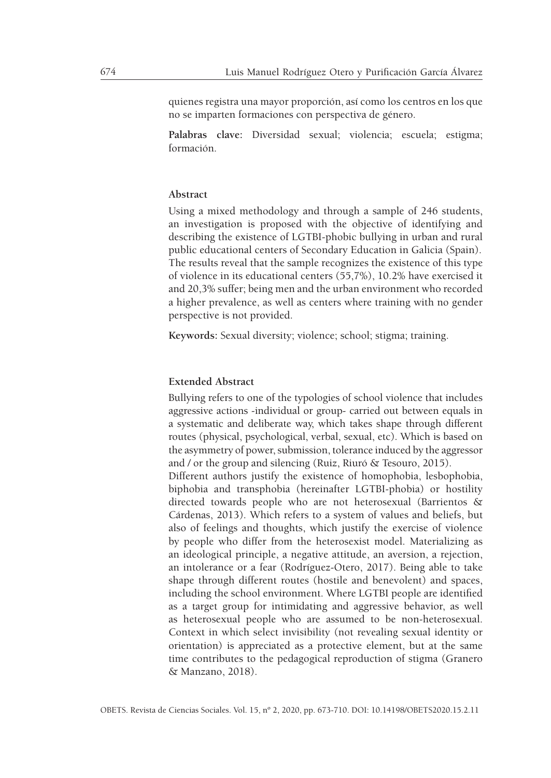quienes registra una mayor proporción, así como los centros en los que no se imparten formaciones con perspectiva de género.

**Palabras clave:** Diversidad sexual; violencia; escuela; estigma; formación.

#### **Abstract**

Using a mixed methodology and through a sample of 246 students, an investigation is proposed with the objective of identifying and describing the existence of LGTBI-phobic bullying in urban and rural public educational centers of Secondary Education in Galicia (Spain). The results reveal that the sample recognizes the existence of this type of violence in its educational centers (55,7%), 10.2% have exercised it and 20,3% suffer; being men and the urban environment who recorded a higher prevalence, as well as centers where training with no gender perspective is not provided.

**Keywords:** Sexual diversity; violence; school; stigma; training.

#### **Extended Abstract**

Bullying refers to one of the typologies of school violence that includes aggressive actions -individual or group- carried out between equals in a systematic and deliberate way, which takes shape through different routes (physical, psychological, verbal, sexual, etc). Which is based on the asymmetry of power, submission, tolerance induced by the aggressor and / or the group and silencing (Ruiz, Riuró & Tesouro, 2015).

Different authors justify the existence of homophobia, lesbophobia, biphobia and transphobia (hereinafter LGTBI-phobia) or hostility directed towards people who are not heterosexual (Barrientos & Cárdenas, 2013). Which refers to a system of values and beliefs, but also of feelings and thoughts, which justify the exercise of violence by people who differ from the heterosexist model. Materializing as an ideological principle, a negative attitude, an aversion, a rejection, an intolerance or a fear (Rodríguez-Otero, 2017). Being able to take shape through different routes (hostile and benevolent) and spaces, including the school environment. Where LGTBI people are identified as a target group for intimidating and aggressive behavior, as well as heterosexual people who are assumed to be non-heterosexual. Context in which select invisibility (not revealing sexual identity or orientation) is appreciated as a protective element, but at the same time contributes to the pedagogical reproduction of stigma (Granero & Manzano, 2018).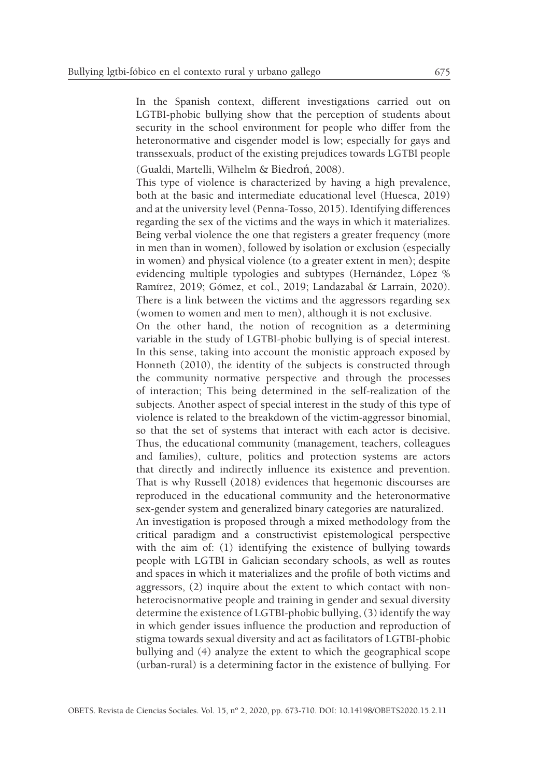In the Spanish context, different investigations carried out on LGTBI-phobic bullying show that the perception of students about security in the school environment for people who differ from the heteronormative and cisgender model is low; especially for gays and transsexuals, product of the existing prejudices towards LGTBI people

(Gualdi, Martelli, Wilhelm & Biedroń, 2008).

This type of violence is characterized by having a high prevalence, both at the basic and intermediate educational level (Huesca, 2019) and at the university level (Penna-Tosso, 2015). Identifying differences regarding the sex of the victims and the ways in which it materializes. Being verbal violence the one that registers a greater frequency (more in men than in women), followed by isolation or exclusion (especially in women) and physical violence (to a greater extent in men); despite evidencing multiple typologies and subtypes (Hernández, López % Ramírez, 2019; Gómez, et col., 2019; Landazabal & Larrain, 2020). There is a link between the victims and the aggressors regarding sex (women to women and men to men), although it is not exclusive.

On the other hand, the notion of recognition as a determining variable in the study of LGTBI-phobic bullying is of special interest. In this sense, taking into account the monistic approach exposed by Honneth (2010), the identity of the subjects is constructed through the community normative perspective and through the processes of interaction; This being determined in the self-realization of the subjects. Another aspect of special interest in the study of this type of violence is related to the breakdown of the victim-aggressor binomial, so that the set of systems that interact with each actor is decisive. Thus, the educational community (management, teachers, colleagues and families), culture, politics and protection systems are actors that directly and indirectly influence its existence and prevention. That is why Russell (2018) evidences that hegemonic discourses are reproduced in the educational community and the heteronormative sex-gender system and generalized binary categories are naturalized.

An investigation is proposed through a mixed methodology from the critical paradigm and a constructivist epistemological perspective with the aim of: (1) identifying the existence of bullying towards people with LGTBI in Galician secondary schools, as well as routes and spaces in which it materializes and the profile of both victims and aggressors, (2) inquire about the extent to which contact with nonheterocisnormative people and training in gender and sexual diversity determine the existence of LGTBI-phobic bullying, (3) identify the way in which gender issues influence the production and reproduction of stigma towards sexual diversity and act as facilitators of LGTBI-phobic bullying and (4) analyze the extent to which the geographical scope (urban-rural) is a determining factor in the existence of bullying. For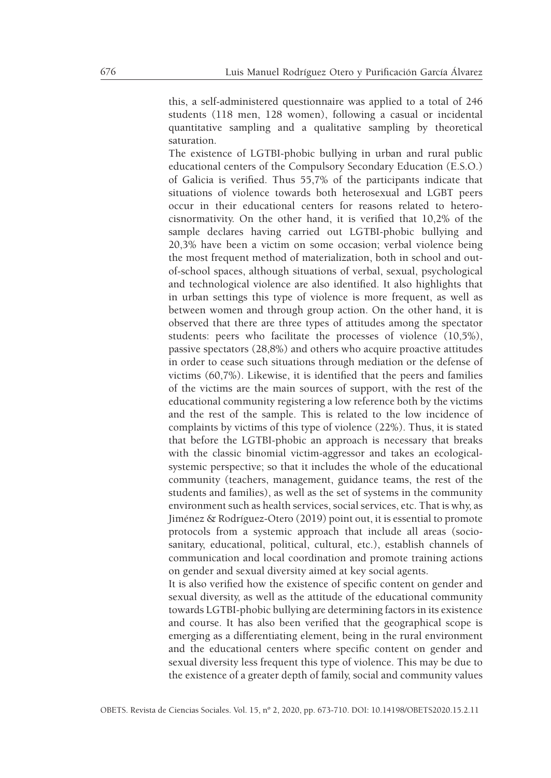this, a self-administered questionnaire was applied to a total of 246 students (118 men, 128 women), following a casual or incidental quantitative sampling and a qualitative sampling by theoretical saturation.

The existence of LGTBI-phobic bullying in urban and rural public educational centers of the Compulsory Secondary Education (E.S.O.) of Galicia is verified. Thus 55,7% of the participants indicate that situations of violence towards both heterosexual and LGBT peers occur in their educational centers for reasons related to heterocisnormativity. On the other hand, it is verified that 10,2% of the sample declares having carried out LGTBI-phobic bullying and 20,3% have been a victim on some occasion; verbal violence being the most frequent method of materialization, both in school and outof-school spaces, although situations of verbal, sexual, psychological and technological violence are also identified. It also highlights that in urban settings this type of violence is more frequent, as well as between women and through group action. On the other hand, it is observed that there are three types of attitudes among the spectator students: peers who facilitate the processes of violence (10,5%), passive spectators (28,8%) and others who acquire proactive attitudes in order to cease such situations through mediation or the defense of victims (60,7%). Likewise, it is identified that the peers and families of the victims are the main sources of support, with the rest of the educational community registering a low reference both by the victims and the rest of the sample. This is related to the low incidence of complaints by victims of this type of violence (22%). Thus, it is stated that before the LGTBI-phobic an approach is necessary that breaks with the classic binomial victim-aggressor and takes an ecologicalsystemic perspective; so that it includes the whole of the educational community (teachers, management, guidance teams, the rest of the students and families), as well as the set of systems in the community environment such as health services, social services, etc. That is why, as Jiménez & Rodríguez-Otero (2019) point out, it is essential to promote protocols from a systemic approach that include all areas (sociosanitary, educational, political, cultural, etc.), establish channels of communication and local coordination and promote training actions on gender and sexual diversity aimed at key social agents.

It is also verified how the existence of specific content on gender and sexual diversity, as well as the attitude of the educational community towards LGTBI-phobic bullying are determining factors in its existence and course. It has also been verified that the geographical scope is emerging as a differentiating element, being in the rural environment and the educational centers where specific content on gender and sexual diversity less frequent this type of violence. This may be due to the existence of a greater depth of family, social and community values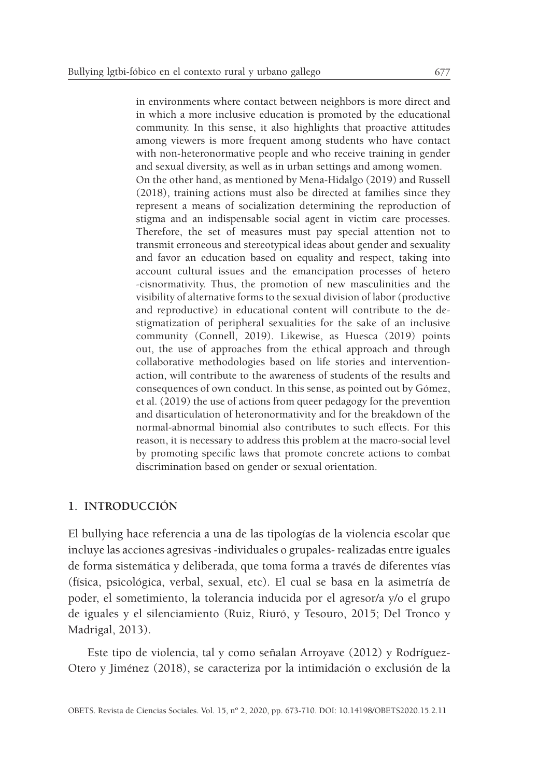in environments where contact between neighbors is more direct and in which a more inclusive education is promoted by the educational community. In this sense, it also highlights that proactive attitudes among viewers is more frequent among students who have contact with non-heteronormative people and who receive training in gender and sexual diversity, as well as in urban settings and among women. On the other hand, as mentioned by Mena-Hidalgo (2019) and Russell (2018), training actions must also be directed at families since they represent a means of socialization determining the reproduction of stigma and an indispensable social agent in victim care processes. Therefore, the set of measures must pay special attention not to transmit erroneous and stereotypical ideas about gender and sexuality and favor an education based on equality and respect, taking into account cultural issues and the emancipation processes of hetero -cisnormativity. Thus, the promotion of new masculinities and the visibility of alternative forms to the sexual division of labor (productive and reproductive) in educational content will contribute to the destigmatization of peripheral sexualities for the sake of an inclusive community (Connell, 2019). Likewise, as Huesca (2019) points out, the use of approaches from the ethical approach and through collaborative methodologies based on life stories and interventionaction, will contribute to the awareness of students of the results and consequences of own conduct. In this sense, as pointed out by Gómez, et al. (2019) the use of actions from queer pedagogy for the prevention and disarticulation of heteronormativity and for the breakdown of the normal-abnormal binomial also contributes to such effects. For this reason, it is necessary to address this problem at the macro-social level by promoting specific laws that promote concrete actions to combat discrimination based on gender or sexual orientation.

## **1. INTRODUCCIÓN**

El bullying hace referencia a una de las tipologías de la violencia escolar que incluye las acciones agresivas -individuales o grupales- realizadas entre iguales de forma sistemática y deliberada, que toma forma a través de diferentes vías (física, psicológica, verbal, sexual, etc). El cual se basa en la asimetría de poder, el sometimiento, la tolerancia inducida por el agresor/a y/o el grupo de iguales y el silenciamiento (Ruiz, Riuró, y Tesouro, 2015; Del Tronco y Madrigal, 2013).

Este tipo de violencia, tal y como señalan Arroyave (2012) y Rodríguez-Otero y Jiménez (2018), se caracteriza por la intimidación o exclusión de la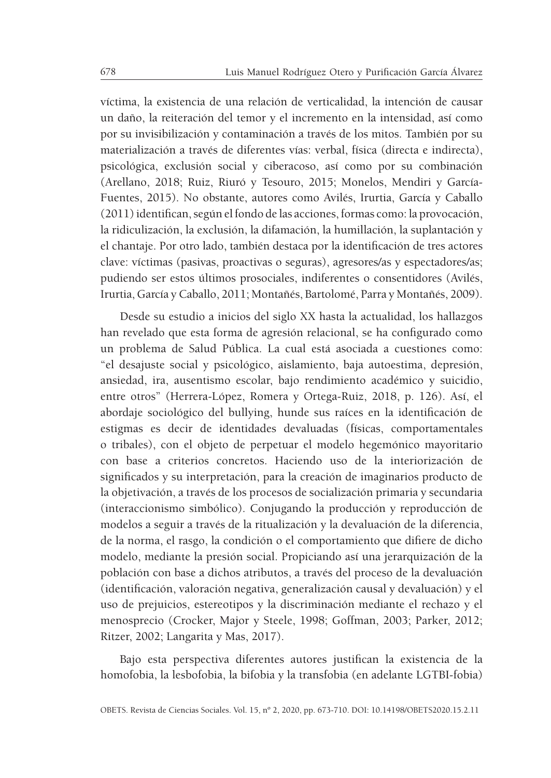víctima, la existencia de una relación de verticalidad, la intención de causar un daño, la reiteración del temor y el incremento en la intensidad, así como por su invisibilización y contaminación a través de los mitos. También por su materialización a través de diferentes vías: verbal, física (directa e indirecta), psicológica, exclusión social y ciberacoso, así como por su combinación (Arellano, 2018; Ruiz, Riuró y Tesouro, 2015; Monelos, Mendiri y García-Fuentes, 2015). No obstante, autores como Avilés, Irurtia, García y Caballo (2011) identifican, según el fondo de las acciones, formas como: la provocación, la ridiculización, la exclusión, la difamación, la humillación, la suplantación y el chantaje. Por otro lado, también destaca por la identificación de tres actores clave: víctimas (pasivas, proactivas o seguras), agresores/as y espectadores/as; pudiendo ser estos últimos prosociales, indiferentes o consentidores (Avilés, Irurtia, García y Caballo, 2011; Montañés, Bartolomé, Parra y Montañés, 2009).

Desde su estudio a inicios del siglo XX hasta la actualidad, los hallazgos han revelado que esta forma de agresión relacional, se ha configurado como un problema de Salud Pública. La cual está asociada a cuestiones como: "el desajuste social y psicológico, aislamiento, baja autoestima, depresión, ansiedad, ira, ausentismo escolar, bajo rendimiento académico y suicidio, entre otros" (Herrera-López, Romera y Ortega-Ruiz, 2018, p. 126). Así, el abordaje sociológico del bullying, hunde sus raíces en la identificación de estigmas es decir de identidades devaluadas (físicas, comportamentales o tribales), con el objeto de perpetuar el modelo hegemónico mayoritario con base a criterios concretos. Haciendo uso de la interiorización de significados y su interpretación, para la creación de imaginarios producto de la objetivación, a través de los procesos de socialización primaria y secundaria (interaccionismo simbólico). Conjugando la producción y reproducción de modelos a seguir a través de la ritualización y la devaluación de la diferencia, de la norma, el rasgo, la condición o el comportamiento que difiere de dicho modelo, mediante la presión social. Propiciando así una jerarquización de la población con base a dichos atributos, a través del proceso de la devaluación (identificación, valoración negativa, generalización causal y devaluación) y el uso de prejuicios, estereotipos y la discriminación mediante el rechazo y el menosprecio (Crocker, Major y Steele, 1998; Goffman, 2003; Parker, 2012; Ritzer, 2002; Langarita y Mas, 2017).

Bajo esta perspectiva diferentes autores justifican la existencia de la homofobia, la lesbofobia, la bifobia y la transfobia (en adelante LGTBI-fobia)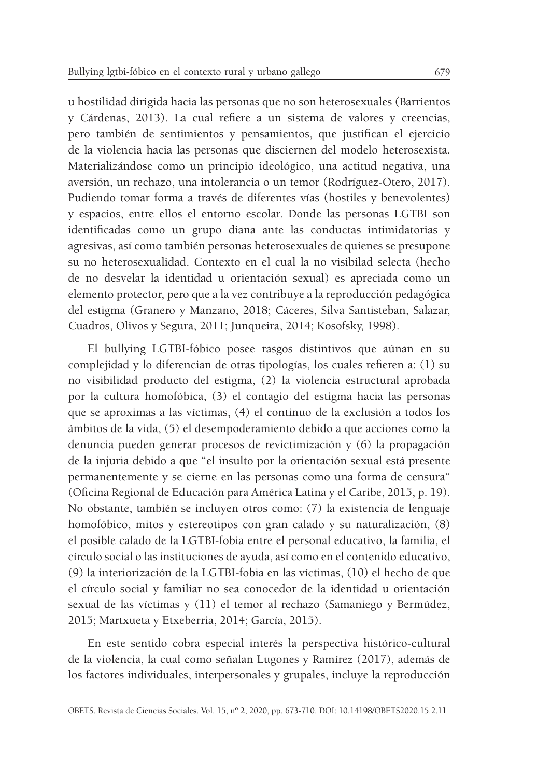u hostilidad dirigida hacia las personas que no son heterosexuales (Barrientos y Cárdenas, 2013). La cual refiere a un sistema de valores y creencias, pero también de sentimientos y pensamientos, que justifican el ejercicio de la violencia hacia las personas que disciernen del modelo heterosexista. Materializándose como un principio ideológico, una actitud negativa, una aversión, un rechazo, una intolerancia o un temor (Rodríguez-Otero, 2017). Pudiendo tomar forma a través de diferentes vías (hostiles y benevolentes) y espacios, entre ellos el entorno escolar. Donde las personas LGTBI son identificadas como un grupo diana ante las conductas intimidatorias y agresivas, así como también personas heterosexuales de quienes se presupone su no heterosexualidad. Contexto en el cual la no visibilad selecta (hecho de no desvelar la identidad u orientación sexual) es apreciada como un elemento protector, pero que a la vez contribuye a la reproducción pedagógica del estigma (Granero y Manzano, 2018; Cáceres, Silva Santisteban, Salazar, Cuadros, Olivos y Segura, 2011; Junqueira, 2014; Kosofsky, 1998).

El bullying LGTBI-fóbico posee rasgos distintivos que aúnan en su complejidad y lo diferencian de otras tipologías, los cuales refieren a: (1) su no visibilidad producto del estigma, (2) la violencia estructural aprobada por la cultura homofóbica, (3) el contagio del estigma hacia las personas que se aproximas a las víctimas, (4) el continuo de la exclusión a todos los ámbitos de la vida, (5) el desempoderamiento debido a que acciones como la denuncia pueden generar procesos de revictimización y (6) la propagación de la injuria debido a que "el insulto por la orientación sexual está presente permanentemente y se cierne en las personas como una forma de censura" (Oficina Regional de Educación para América Latina y el Caribe, 2015, p. 19). No obstante, también se incluyen otros como: (7) la existencia de lenguaje homofóbico, mitos y estereotipos con gran calado y su naturalización, (8) el posible calado de la LGTBI-fobia entre el personal educativo, la familia, el círculo social o las instituciones de ayuda, así como en el contenido educativo, (9) la interiorización de la LGTBI-fobia en las víctimas, (10) el hecho de que el círculo social y familiar no sea conocedor de la identidad u orientación sexual de las víctimas y (11) el temor al rechazo (Samaniego y Bermúdez, 2015; Martxueta y Etxeberria, 2014; García, 2015).

En este sentido cobra especial interés la perspectiva histórico-cultural de la violencia, la cual como señalan Lugones y Ramírez (2017), además de los factores individuales, interpersonales y grupales, incluye la reproducción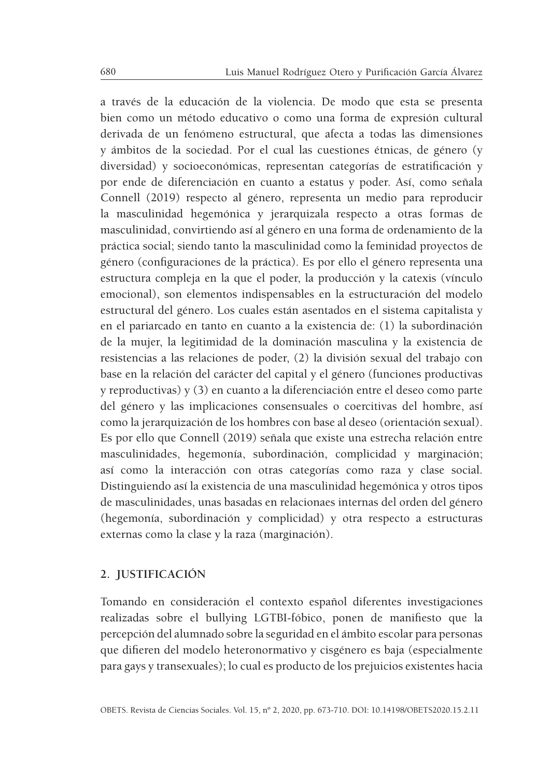a través de la educación de la violencia. De modo que esta se presenta bien como un método educativo o como una forma de expresión cultural derivada de un fenómeno estructural, que afecta a todas las dimensiones y ámbitos de la sociedad. Por el cual las cuestiones étnicas, de género (y diversidad) y socioeconómicas, representan categorías de estratificación y por ende de diferenciación en cuanto a estatus y poder. Así, como señala Connell (2019) respecto al género, representa un medio para reproducir la masculinidad hegemónica y jerarquizala respecto a otras formas de masculinidad, convirtiendo así al género en una forma de ordenamiento de la práctica social; siendo tanto la masculinidad como la feminidad proyectos de género (configuraciones de la práctica). Es por ello el género representa una estructura compleja en la que el poder, la producción y la catexis (vínculo emocional), son elementos indispensables en la estructuración del modelo estructural del género. Los cuales están asentados en el sistema capitalista y en el pariarcado en tanto en cuanto a la existencia de: (1) la subordinación de la mujer, la legitimidad de la dominación masculina y la existencia de resistencias a las relaciones de poder, (2) la división sexual del trabajo con base en la relación del carácter del capital y el género (funciones productivas y reproductivas) y (3) en cuanto a la diferenciación entre el deseo como parte del género y las implicaciones consensuales o coercitivas del hombre, así como la jerarquización de los hombres con base al deseo (orientación sexual). Es por ello que Connell (2019) señala que existe una estrecha relación entre masculinidades, hegemonía, subordinación, complicidad y marginación; así como la interacción con otras categorías como raza y clase social. Distinguiendo así la existencia de una masculinidad hegemónica y otros tipos de masculinidades, unas basadas en relacionaes internas del orden del género (hegemonía, subordinación y complicidad) y otra respecto a estructuras externas como la clase y la raza (marginación).

## **2. JUSTIFICACIÓN**

Tomando en consideración el contexto español diferentes investigaciones realizadas sobre el bullying LGTBI-fóbico, ponen de manifiesto que la percepción del alumnado sobre la seguridad en el ámbito escolar para personas que difieren del modelo heteronormativo y cisgénero es baja (especialmente para gays y transexuales); lo cual es producto de los prejuicios existentes hacia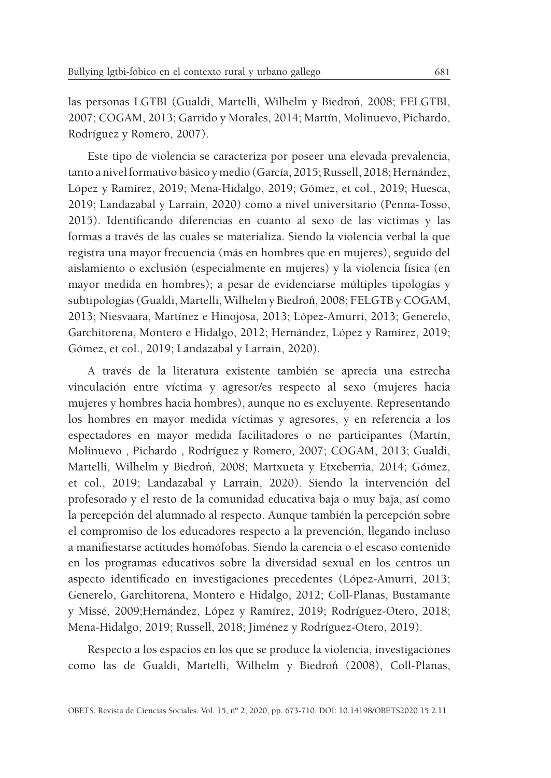las personas LGTBI (Gualdi, Martelli, Wilhelm y Biedroń, 2008; FELGTBI, 2007; COGAM, 2013; Garrido y Morales, 2014; Martín, Molinuevo, Pichardo, Rodríguez y Romero, 2007).

Este tipo de violencia se caracteriza por poseer una elevada prevalencia, tanto a nivel formativo básico y medio (García, 2015; Russell, 2018; Hernández, López y Ramírez, 2019; Mena-Hidalgo, 2019; Gómez, et col., 2019; Huesca, 2019; Landazabal y Larrain, 2020) como a nivel universitario (Penna-Tosso, 2015). Identificando diferencias en cuanto al sexo de las víctimas y las formas a través de las cuales se materializa. Siendo la violencia verbal la que registra una mayor frecuencia (más en hombres que en mujeres), seguido del aislamiento o exclusión (especialmente en mujeres) y la violencia física (en mayor medida en hombres); a pesar de evidenciarse múltiples tipologías y subtipologías (Gualdi, Martelli, Wilhelm y Biedroń, 2008; FELGTB y COGAM, 2013; Niesvaara, Martínez e Hinojosa, 2013; López-Amurri, 2013; Generelo, Garchitorena, Montero e Hidalgo, 2012; Hernández, López y Ramírez, 2019; Gómez, et col., 2019; Landazabal y Larrain, 2020).

A través de la literatura existente también se aprecia una estrecha vinculación entre víctima y agresor/es respecto al sexo (mujeres hacia mujeres y hombres hacia hombres), aunque no es excluyente. Representando los hombres en mayor medida víctimas y agresores, y en referencia a los espectadores en mayor medida facilitadores o no participantes (Martín, Molinuevo , Pichardo , Rodríguez y Romero, 2007; COGAM, 2013; Gualdi, Martelli, Wilhelm y Biedroń, 2008; Martxueta y Etxeberria, 2014; Gómez, et col., 2019; Landazabal y Larrain, 2020). Siendo la intervención del profesorado y el resto de la comunidad educativa baja o muy baja, así como la percepción del alumnado al respecto. Aunque también la percepción sobre el compromiso de los educadores respecto a la prevención, llegando incluso a manifiestarse actitudes homófobas. Siendo la carencia o el escaso contenido en los programas educativos sobre la diversidad sexual en los centros un aspecto identificado en investigaciones precedentes (López-Amurri, 2013; Generelo, Garchitorena, Montero e Hidalgo, 2012; Coll-Planas, Bustamante y Missé, 2009;Hernández, López y Ramírez, 2019; Rodríguez-Otero, 2018; Mena-Hidalgo, 2019; Russell, 2018; Jiménez y Rodríguez-Otero, 2019).

Respecto a los espacios en los que se produce la violencia, investigaciones como las de Gualdi, Martelli, Wilhelm y Biedroń (2008), Coll-Planas,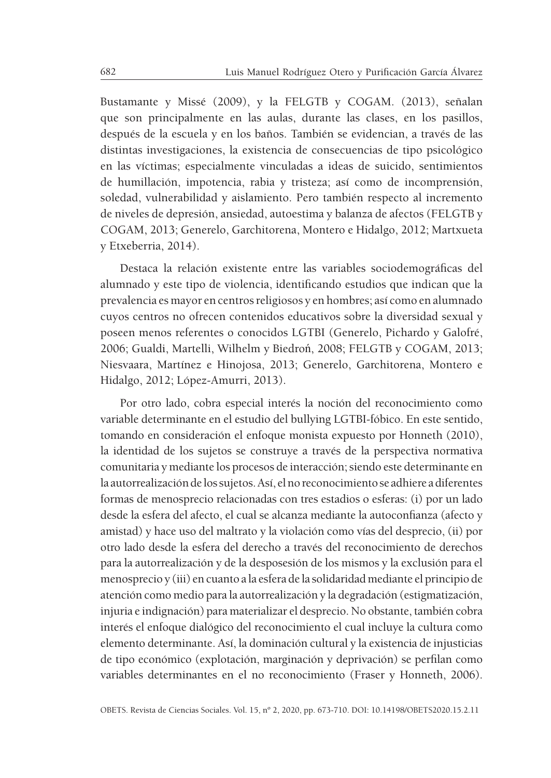Bustamante y Missé (2009), y la FELGTB y COGAM. (2013), señalan que son principalmente en las aulas, durante las clases, en los pasillos, después de la escuela y en los baños. También se evidencian, a través de las distintas investigaciones, la existencia de consecuencias de tipo psicológico en las víctimas; especialmente vinculadas a ideas de suicido, sentimientos de humillación, impotencia, rabia y tristeza; así como de incomprensión, soledad, vulnerabilidad y aislamiento. Pero también respecto al incremento de niveles de depresión, ansiedad, autoestima y balanza de afectos (FELGTB y COGAM, 2013; Generelo, Garchitorena, Montero e Hidalgo, 2012; Martxueta y Etxeberria, 2014).

Destaca la relación existente entre las variables sociodemográficas del alumnado y este tipo de violencia, identificando estudios que indican que la prevalencia es mayor en centros religiosos y en hombres; así como en alumnado cuyos centros no ofrecen contenidos educativos sobre la diversidad sexual y poseen menos referentes o conocidos LGTBI (Generelo, Pichardo y Galofré, 2006; Gualdi, Martelli, Wilhelm y Biedroń, 2008; FELGTB y COGAM, 2013; Niesvaara, Martínez e Hinojosa, 2013; Generelo, Garchitorena, Montero e Hidalgo, 2012; López-Amurri, 2013).

Por otro lado, cobra especial interés la noción del reconocimiento como variable determinante en el estudio del bullying LGTBI-fóbico. En este sentido, tomando en consideración el enfoque monista expuesto por Honneth (2010), la identidad de los sujetos se construye a través de la perspectiva normativa comunitaria y mediante los procesos de interacción; siendo este determinante en la autorrealización de los sujetos. Así, el no reconocimiento se adhiere a diferentes formas de menosprecio relacionadas con tres estadios o esferas: (i) por un lado desde la esfera del afecto, el cual se alcanza mediante la autoconfianza (afecto y amistad) y hace uso del maltrato y la violación como vías del desprecio, (ii) por otro lado desde la esfera del derecho a través del reconocimiento de derechos para la autorrealización y de la desposesión de los mismos y la exclusión para el menosprecio y (iii) en cuanto a la esfera de la solidaridad mediante el principio de atención como medio para la autorrealización y la degradación (estigmatización, injuria e indignación) para materializar el desprecio. No obstante, también cobra interés el enfoque dialógico del reconocimiento el cual incluye la cultura como elemento determinante. Así, la dominación cultural y la existencia de injusticias de tipo económico (explotación, marginación y deprivación) se perfilan como variables determinantes en el no reconocimiento (Fraser y Honneth, 2006).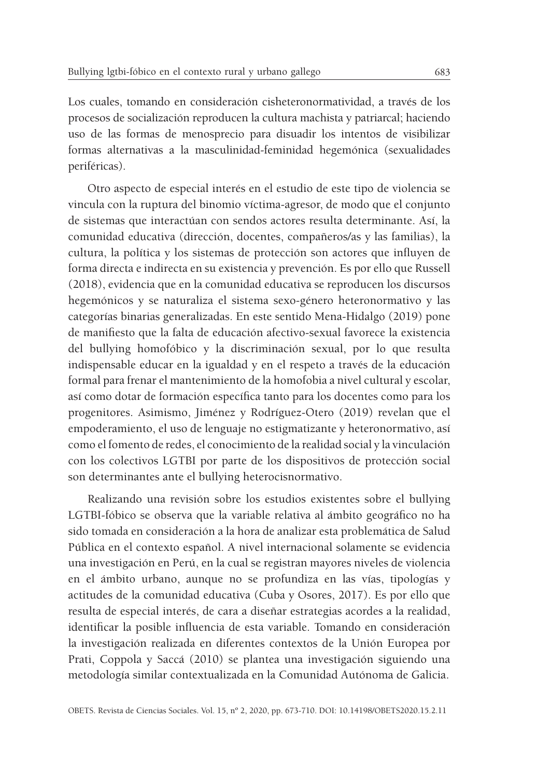Los cuales, tomando en consideración cisheteronormatividad, a través de los procesos de socialización reproducen la cultura machista y patriarcal; haciendo uso de las formas de menosprecio para disuadir los intentos de visibilizar formas alternativas a la masculinidad-feminidad hegemónica (sexualidades periféricas).

Otro aspecto de especial interés en el estudio de este tipo de violencia se vincula con la ruptura del binomio víctima-agresor, de modo que el conjunto de sistemas que interactúan con sendos actores resulta determinante. Así, la comunidad educativa (dirección, docentes, compañeros/as y las familias), la cultura, la política y los sistemas de protección son actores que influyen de forma directa e indirecta en su existencia y prevención. Es por ello que Russell (2018), evidencia que en la comunidad educativa se reproducen los discursos hegemónicos y se naturaliza el sistema sexo-género heteronormativo y las categorías binarias generalizadas. En este sentido Mena-Hidalgo (2019) pone de manifiesto que la falta de educación afectivo-sexual favorece la existencia del bullying homofóbico y la discriminación sexual, por lo que resulta indispensable educar en la igualdad y en el respeto a través de la educación formal para frenar el mantenimiento de la homofobia a nivel cultural y escolar, así como dotar de formación específica tanto para los docentes como para los progenitores. Asimismo, Jiménez y Rodríguez-Otero (2019) revelan que el empoderamiento, el uso de lenguaje no estigmatizante y heteronormativo, así como el fomento de redes, el conocimiento de la realidad social y la vinculación con los colectivos LGTBI por parte de los dispositivos de protección social son determinantes ante el bullying heterocisnormativo.

Realizando una revisión sobre los estudios existentes sobre el bullying LGTBI-fóbico se observa que la variable relativa al ámbito geográfico no ha sido tomada en consideración a la hora de analizar esta problemática de Salud Pública en el contexto español. A nivel internacional solamente se evidencia una investigación en Perú, en la cual se registran mayores niveles de violencia en el ámbito urbano, aunque no se profundiza en las vías, tipologías y actitudes de la comunidad educativa (Cuba y Osores, 2017). Es por ello que resulta de especial interés, de cara a diseñar estrategias acordes a la realidad, identificar la posible influencia de esta variable. Tomando en consideración la investigación realizada en diferentes contextos de la Unión Europea por Prati, Coppola y Saccá (2010) se plantea una investigación siguiendo una metodología similar contextualizada en la Comunidad Autónoma de Galicia.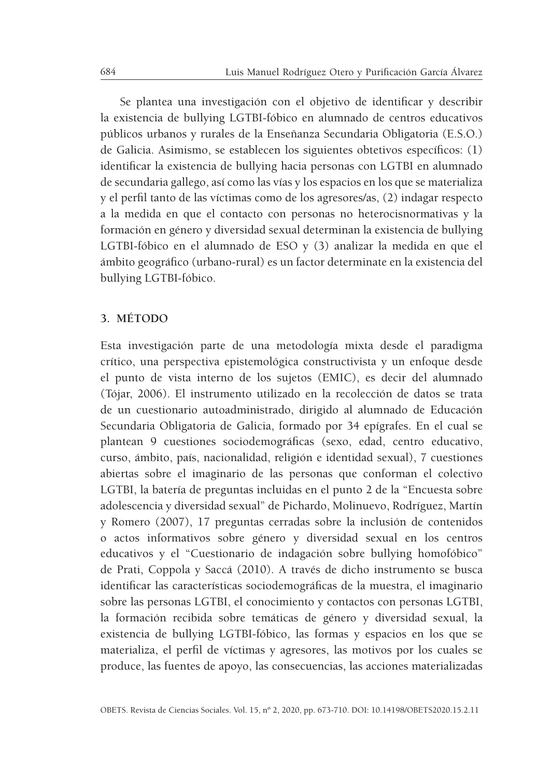Se plantea una investigación con el objetivo de identificar y describir la existencia de bullying LGTBI-fóbico en alumnado de centros educativos públicos urbanos y rurales de la Enseñanza Secundaria Obligatoria (E.S.O.) de Galicia. Asimismo, se establecen los siguientes obtetivos específicos: (1) identificar la existencia de bullying hacia personas con LGTBI en alumnado de secundaria gallego, así como las vías y los espacios en los que se materializa y el perfil tanto de las víctimas como de los agresores/as, (2) indagar respecto a la medida en que el contacto con personas no heterocisnormativas y la formación en género y diversidad sexual determinan la existencia de bullying LGTBI-fóbico en el alumnado de ESO y (3) analizar la medida en que el ámbito geográfico (urbano-rural) es un factor determinate en la existencia del bullying LGTBI-fóbico.

### **3. MÉTODO**

Esta investigación parte de una metodología mixta desde el paradigma crítico, una perspectiva epistemológica constructivista y un enfoque desde el punto de vista interno de los sujetos (EMIC), es decir del alumnado (Tójar, 2006). El instrumento utilizado en la recolección de datos se trata de un cuestionario autoadministrado, dirigido al alumnado de Educación Secundaria Obligatoria de Galicia, formado por 34 epígrafes. En el cual se plantean 9 cuestiones sociodemográficas (sexo, edad, centro educativo, curso, ámbito, país, nacionalidad, religión e identidad sexual), 7 cuestiones abiertas sobre el imaginario de las personas que conforman el colectivo LGTBI, la batería de preguntas incluidas en el punto 2 de la "Encuesta sobre adolescencia y diversidad sexual" de Pichardo, Molinuevo, Rodríguez, Martín y Romero (2007), 17 preguntas cerradas sobre la inclusión de contenidos o actos informativos sobre género y diversidad sexual en los centros educativos y el "Cuestionario de indagación sobre bullying homofóbico" de Prati, Coppola y Saccá (2010). A través de dicho instrumento se busca identificar las características sociodemográficas de la muestra, el imaginario sobre las personas LGTBI, el conocimiento y contactos con personas LGTBI, la formación recibida sobre temáticas de género y diversidad sexual, la existencia de bullying LGTBI-fóbico, las formas y espacios en los que se materializa, el perfil de víctimas y agresores, las motivos por los cuales se produce, las fuentes de apoyo, las consecuencias, las acciones materializadas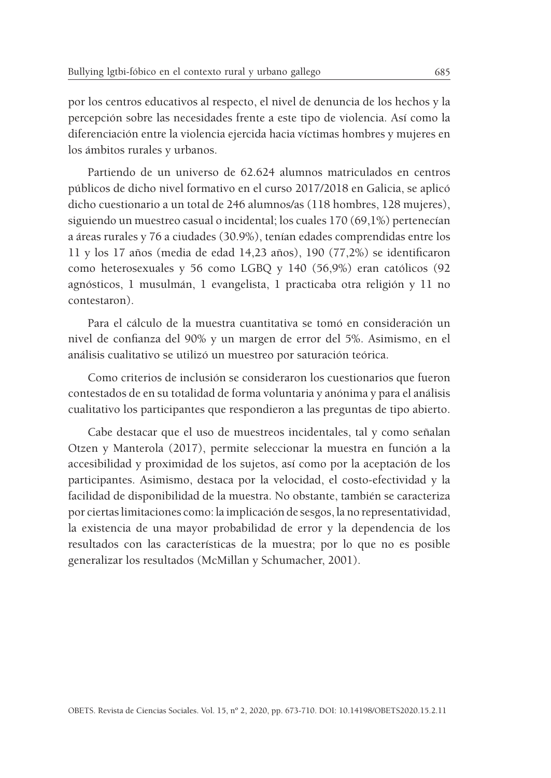por los centros educativos al respecto, el nivel de denuncia de los hechos y la percepción sobre las necesidades frente a este tipo de violencia. Así como la diferenciación entre la violencia ejercida hacia víctimas hombres y mujeres en los ámbitos rurales y urbanos.

Partiendo de un universo de 62.624 alumnos matriculados en centros públicos de dicho nivel formativo en el curso 2017/2018 en Galicia, se aplicó dicho cuestionario a un total de 246 alumnos/as (118 hombres, 128 mujeres), siguiendo un muestreo casual o incidental; los cuales 170 (69,1%) pertenecían a áreas rurales y 76 a ciudades (30.9%), tenían edades comprendidas entre los 11 y los 17 años (media de edad 14,23 años), 190 (77,2%) se identificaron como heterosexuales y 56 como LGBQ y 140 (56,9%) eran católicos (92 agnósticos, 1 musulmán, 1 evangelista, 1 practicaba otra religión y 11 no contestaron).

Para el cálculo de la muestra cuantitativa se tomó en consideración un nivel de confianza del 90% y un margen de error del 5%. Asimismo, en el análisis cualitativo se utilizó un muestreo por saturación teórica.

Como criterios de inclusión se consideraron los cuestionarios que fueron contestados de en su totalidad de forma voluntaria y anónima y para el análisis cualitativo los participantes que respondieron a las preguntas de tipo abierto.

Cabe destacar que el uso de muestreos incidentales, tal y como señalan Otzen y Manterola (2017), permite seleccionar la muestra en función a la accesibilidad y proximidad de los sujetos, así como por la aceptación de los participantes. Asimismo, destaca por la velocidad, el costo-efectividad y la facilidad de disponibilidad de la muestra. No obstante, también se caracteriza por ciertas limitaciones como: la implicación de sesgos, la no representatividad, la existencia de una mayor probabilidad de error y la dependencia de los resultados con las características de la muestra; por lo que no es posible generalizar los resultados (McMillan y Schumacher, 2001).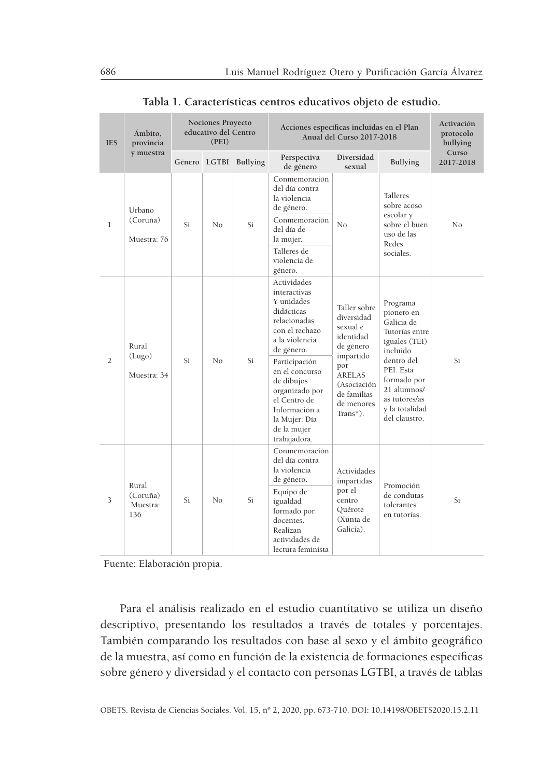| <b>IES</b>     | Ámbito,<br>provincia                 |                 | <b>Nociones Proyecto</b><br>educativo del Centro<br>(PEI) |                 | Acciones específicas incluidas en el Plan<br>Anual del Curso 2017-2018                                                                                                                                                                                                        | Activación<br>protocolo<br>bullying                                                                                                                              |                                                                                                                                                                                                  |                    |
|----------------|--------------------------------------|-----------------|-----------------------------------------------------------|-----------------|-------------------------------------------------------------------------------------------------------------------------------------------------------------------------------------------------------------------------------------------------------------------------------|------------------------------------------------------------------------------------------------------------------------------------------------------------------|--------------------------------------------------------------------------------------------------------------------------------------------------------------------------------------------------|--------------------|
|                | y muestra                            | Género<br>LGTBI |                                                           | <b>Bullying</b> | Perspectiva<br>de género                                                                                                                                                                                                                                                      | Diversidad<br>sexual                                                                                                                                             | Bullying                                                                                                                                                                                         | Curso<br>2017-2018 |
| $\mathbf{1}$   | Urbano<br>(Coruña)<br>Muestra: 76    | Si              | N <sub>0</sub>                                            | Si              | Conmemoración<br>del día contra<br>la violencia<br>de género.<br>Conmemoración<br>del día de<br>la mujer.<br>Talleres de<br>violencia de<br>género.                                                                                                                           | No                                                                                                                                                               | <b>Talleres</b><br>sobre acoso<br>escolar y<br>sobre el buen<br>uso de las<br>Redes<br>sociales.                                                                                                 | No                 |
| $\overline{2}$ | Rural<br>(Lugo)<br>Muestra: 34       | Si              | No                                                        | Si              | Actividades<br>interactivas<br>Y unidades<br>didácticas<br>relacionadas<br>con el rechazo<br>a la violencia<br>de género.<br>Participación<br>en el concurso<br>de dibujos<br>organizado por<br>el Centro de<br>Información a<br>la Mujer: Día<br>de la mujer<br>trabajadora. | Taller sobre<br>diversidad<br>sexual e<br>identidad<br>de género<br>impartido<br>por<br><b>ARELAS</b><br>(Asociación<br>de familias<br>de menores<br>$Trans*$ ). | Programa<br>pionero en<br>Galicia de<br>Tutorías entre<br>iguales (TEI)<br>incluido<br>dentro del<br>PEI. Está<br>formado por<br>21 alumnos/<br>as tutores/as<br>y la totalidad<br>del claustro. | Si                 |
| 3              | Rural<br>(Coruña)<br>Muestra:<br>136 | Si              | No                                                        | Si              | Conmemoración<br>del día contra<br>la violencia<br>de género.<br>Equipo de<br>igualdad<br>formado por<br>docentes.<br>Realizan<br>actividades de<br>lectura feminista                                                                                                         | Actividades<br>impartidas<br>por el<br>centro<br>Ouérote<br>(Xunta de<br>Galicia).                                                                               | Promoción<br>de condutas<br>tolerantes<br>en tutorías.                                                                                                                                           | Si                 |

|  | Tabla 1. Características centros educativos objeto de estudio. |  |  |  |
|--|----------------------------------------------------------------|--|--|--|
|  |                                                                |  |  |  |

Fuente: Elaboración propia.

Para el análisis realizado en el estudio cuantitativo se utiliza un diseño descriptivo, presentando los resultados a través de totales y porcentajes. También comparando los resultados con base al sexo y el ámbito geográfico de la muestra, así como en función de la existencia de formaciones específicas sobre género y diversidad y el contacto con personas LGTBI, a través de tablas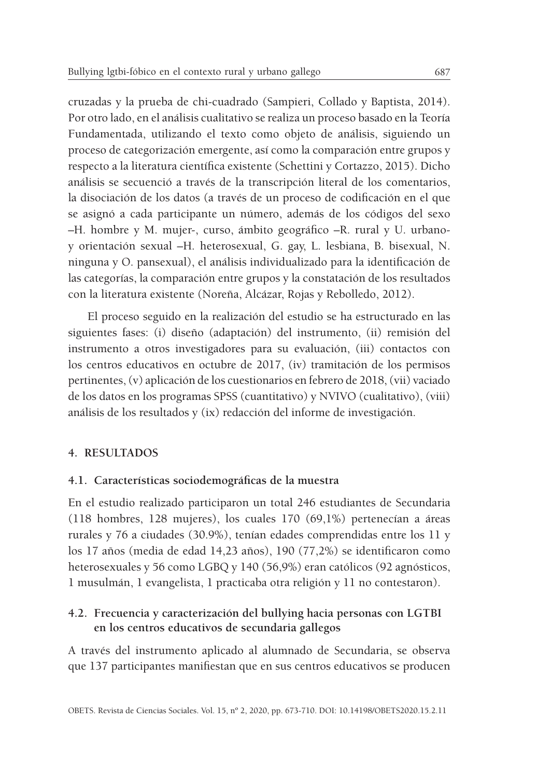cruzadas y la prueba de chi-cuadrado (Sampieri, Collado y Baptista, 2014). Por otro lado, en el análisis cualitativo se realiza un proceso basado en la Teoría Fundamentada, utilizando el texto como objeto de análisis, siguiendo un proceso de categorización emergente, así como la comparación entre grupos y respecto a la literatura científica existente (Schettini y Cortazzo, 2015). Dicho análisis se secuenció a través de la transcripción literal de los comentarios, la disociación de los datos (a través de un proceso de codificación en el que se asignó a cada participante un número, además de los códigos del sexo –H. hombre y M. mujer-, curso, ámbito geográfico –R. rural y U. urbanoy orientación sexual –H. heterosexual, G. gay, L. lesbiana, B. bisexual, N. ninguna y O. pansexual), el análisis individualizado para la identificación de las categorías, la comparación entre grupos y la constatación de los resultados con la literatura existente (Noreña, Alcázar, Rojas y Rebolledo, 2012).

El proceso seguido en la realización del estudio se ha estructurado en las siguientes fases: (i) diseño (adaptación) del instrumento, (ii) remisión del instrumento a otros investigadores para su evaluación, (iii) contactos con los centros educativos en octubre de 2017, (iv) tramitación de los permisos pertinentes, (v) aplicación de los cuestionarios en febrero de 2018, (vii) vaciado de los datos en los programas SPSS (cuantitativo) y NVIVO (cualitativo), (viii) análisis de los resultados y (ix) redacción del informe de investigación.

## **4. RESULTADOS**

#### **4.1. Características sociodemográficas de la muestra**

En el estudio realizado participaron un total 246 estudiantes de Secundaria (118 hombres, 128 mujeres), los cuales 170 (69,1%) pertenecían a áreas rurales y 76 a ciudades (30.9%), tenían edades comprendidas entre los 11 y los 17 años (media de edad 14,23 años), 190 (77,2%) se identificaron como heterosexuales y 56 como LGBQ y 140 (56,9%) eran católicos (92 agnósticos, 1 musulmán, 1 evangelista, 1 practicaba otra religión y 11 no contestaron).

# **4.2. Frecuencia y caracterización del bullying hacia personas con LGTBI en los centros educativos de secundaria gallegos**

A través del instrumento aplicado al alumnado de Secundaria, se observa que 137 participantes manifiestan que en sus centros educativos se producen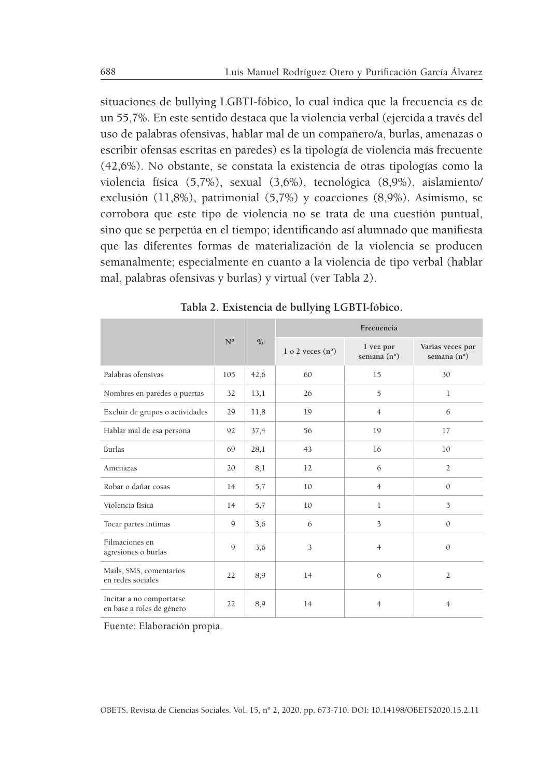situaciones de bullying LGBTI-fóbico, lo cual indica que la frecuencia es de un 55,7%. En este sentido destaca que la violencia verbal (ejercida a través del uso de palabras ofensivas, hablar mal de un compañero/a, burlas, amenazas o escribir ofensas escritas en paredes) es la tipología de violencia más frecuente (42,6%). No obstante, se constata la existencia de otras tipologías como la violencia física (5,7%), sexual (3,6%), tecnológica (8,9%), aislamiento/ exclusión (11,8%), patrimonial (5,7%) y coacciones (8,9%). Asimismo, se corrobora que este tipo de violencia no se trata de una cuestión puntual, sino que se perpetúa en el tiempo; identificando así alumnado que manifiesta que las diferentes formas de materialización de la violencia se producen semanalmente; especialmente en cuanto a la violencia de tipo verbal (hablar mal, palabras ofensivas y burlas) y virtual (ver Tabla 2).

|                                                       |             |               | Frecuencia                |                          |                                          |  |  |  |  |
|-------------------------------------------------------|-------------|---------------|---------------------------|--------------------------|------------------------------------------|--|--|--|--|
|                                                       | $N^{\circ}$ | $\frac{0}{0}$ | 1 o 2 veces $(n^{\circ})$ | 1 vez por<br>semana (nº) | Varias veces por<br>semana $(n^{\circ})$ |  |  |  |  |
| Palabras ofensivas                                    | 105         | 42,6          | 60                        | 15                       | 30                                       |  |  |  |  |
| Nombres en paredes o puertas                          | 32          | 13,1          | 26                        | 5                        | $\mathbf{1}$                             |  |  |  |  |
| Excluir de grupos o actividades                       | 29          | 11,8          | 19                        | $\overline{4}$           | 6                                        |  |  |  |  |
| Hablar mal de esa persona                             | 92          | 37,4          | 56                        | 19                       | 17                                       |  |  |  |  |
| <b>Burlas</b>                                         | 69          | 28,1          | 43                        | 16                       | 10                                       |  |  |  |  |
| Amenazas                                              | 20          | 8,1           | 12                        | 6                        | $\overline{2}$                           |  |  |  |  |
| Robar o dañar cosas                                   | 14          | 5,7           | 10                        | $\overline{4}$           | $\mathbf{0}$                             |  |  |  |  |
| Violencia física                                      | 14          | 5,7           | 10                        | $\mathbf{1}$             | 3                                        |  |  |  |  |
| Tocar partes íntimas                                  | 9           | 3,6           | 6                         | 3                        | $\mathbf{0}$                             |  |  |  |  |
| Filmaciones en<br>agresiones o burlas                 | $\mathbf Q$ | 3,6           | 3                         | $\overline{4}$           | $\mathbf{0}$                             |  |  |  |  |
| Mails, SMS, comentarios<br>en redes sociales          | 22          | 8,9           | 14                        | 6                        | $\overline{2}$                           |  |  |  |  |
| Incitar a no comportarse<br>en base a roles de género | 22          | 8,9           | 14                        | $\overline{4}$           | $\overline{4}$                           |  |  |  |  |

**Tabla 2. Existencia de bullying LGBTI-fóbico.**

Fuente: Elaboración propia.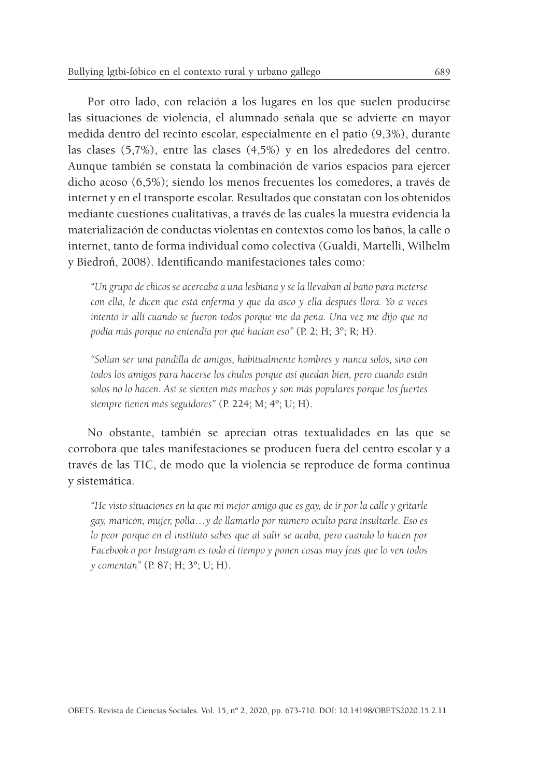Por otro lado, con relación a los lugares en los que suelen producirse las situaciones de violencia, el alumnado señala que se advierte en mayor medida dentro del recinto escolar, especialmente en el patio (9,3%), durante las clases (5,7%), entre las clases (4,5%) y en los alrededores del centro. Aunque también se constata la combinación de varios espacios para ejercer dicho acoso (6,5%); siendo los menos frecuentes los comedores, a través de internet y en el transporte escolar. Resultados que constatan con los obtenidos mediante cuestiones cualitativas, a través de las cuales la muestra evidencia la materialización de conductas violentas en contextos como los baños, la calle o internet, tanto de forma individual como colectiva (Gualdi, Martelli, Wilhelm y Biedroń, 2008). Identificando manifestaciones tales como:

*"Un grupo de chicos se acercaba a una lesbiana y se la llevaban al baño para meterse con ella, le dicen que está enferma y que da asco y ella después llora. Yo a veces intento ir allí cuando se fueron todos porque me da pena. Una vez me dijo que no podía más porque no entendía por qué hacían eso"* (P. 2; H; 3º; R; H).

*"Solían ser una pandilla de amigos, habitualmente hombres y nunca solos, sino con todos los amigos para hacerse los chulos porque así quedan bien, pero cuando están solos no lo hacen. Así se sienten más machos y son más populares porque los fuertes siempre tienen más seguidores"* (P. 224; M; 4º; U; H).

No obstante, también se aprecian otras textualidades en las que se corrobora que tales manifestaciones se producen fuera del centro escolar y a través de las TIC, de modo que la violencia se reproduce de forma continua y sistemática.

*"He visto situaciones en la que mi mejor amigo que es gay, de ir por la calle y gritarle gay, maricón, mujer, polla…y de llamarlo por número oculto para insultarle. Eso es lo peor porque en el instituto sabes que al salir se acaba, pero cuando lo hacen por Facebook o por Instagram es todo el tiempo y ponen cosas muy feas que lo ven todos y comentan"* (P. 87; H; 3º; U; H).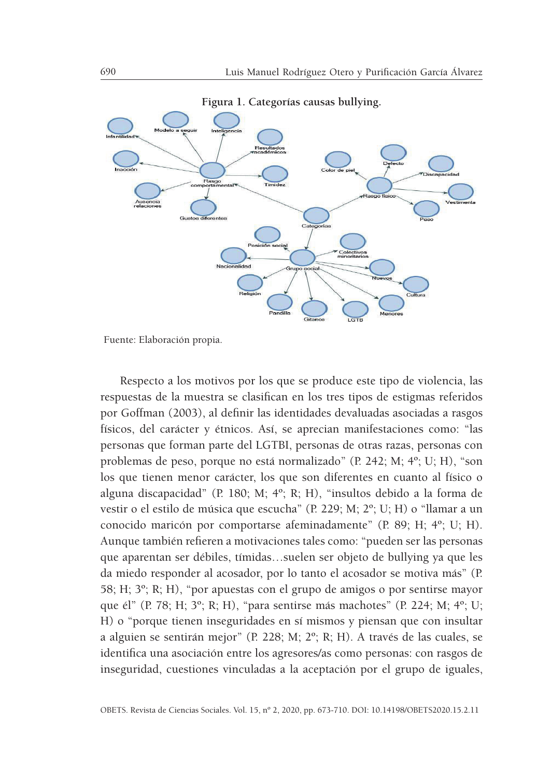

**Figura 1. Categorías causas bullying.**

Fuente: Elaboración propia.

Respecto a los motivos por los que se produce este tipo de violencia, las respuestas de la muestra se clasifican en los tres tipos de estigmas referidos por Goffman (2003), al definir las identidades devaluadas asociadas a rasgos físicos, del carácter y étnicos. Así, se aprecian manifestaciones como: "las personas que forman parte del LGTBI, personas de otras razas, personas con problemas de peso, porque no está normalizado" (P. 242; M; 4º; U; H), "son los que tienen menor carácter, los que son diferentes en cuanto al físico o alguna discapacidad" (P. 180; M; 4º; R; H), "insultos debido a la forma de vestir o el estilo de música que escucha" (P. 229; M; 2º; U; H) o "llamar a un conocido maricón por comportarse afeminadamente" (P. 89; H; 4º; U; H). Aunque también refieren a motivaciones tales como: "pueden ser las personas que aparentan ser débiles, tímidas…suelen ser objeto de bullying ya que les da miedo responder al acosador, por lo tanto el acosador se motiva más" (P. 58; H; 3º; R; H), "por apuestas con el grupo de amigos o por sentirse mayor que él" (P. 78; H; 3º; R; H), "para sentirse más machotes" (P. 224; M; 4º; U; H) o "porque tienen inseguridades en sí mismos y piensan que con insultar a alguien se sentirán mejor" (P. 228; M; 2º; R; H). A través de las cuales, se identifica una asociación entre los agresores/as como personas: con rasgos de inseguridad, cuestiones vinculadas a la aceptación por el grupo de iguales,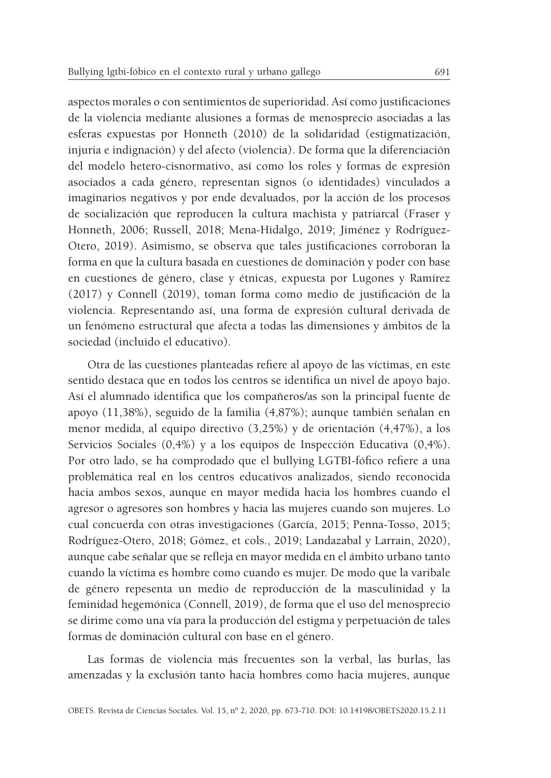aspectos morales o con sentimientos de superioridad. Así como justificaciones de la violencia mediante alusiones a formas de menosprecio asociadas a las esferas expuestas por Honneth (2010) de la solidaridad (estigmatización, injuria e indignación) y del afecto (violencia). De forma que la diferenciación del modelo hetero-cisnormativo, así como los roles y formas de expresión asociados a cada género, representan signos (o identidades) vinculados a imaginarios negativos y por ende devaluados, por la acción de los procesos de socialización que reproducen la cultura machista y patriarcal (Fraser y Honneth, 2006; Russell, 2018; Mena-Hidalgo, 2019; Jiménez y Rodríguez-Otero, 2019). Asimismo, se observa que tales justificaciones corroboran la forma en que la cultura basada en cuestiones de dominación y poder con base en cuestiones de género, clase y étnicas, expuesta por Lugones y Ramírez (2017) y Connell (2019), toman forma como medio de justificación de la violencia. Representando así, una forma de expresión cultural derivada de un fenómeno estructural que afecta a todas las dimensiones y ámbitos de la sociedad (incluido el educativo).

Otra de las cuestiones planteadas refiere al apoyo de las víctimas, en este sentido destaca que en todos los centros se identifica un nivel de apoyo bajo. Así el alumnado identifica que los compañeros/as son la principal fuente de apoyo (11,38%), seguido de la familia (4,87%); aunque también señalan en menor medida, al equipo directivo (3,25%) y de orientación (4,47%), a los Servicios Sociales (0,4%) y a los equipos de Inspección Educativa (0,4%). Por otro lado, se ha comprodado que el bullying LGTBI-fófico refiere a una problemática real en los centros educativos analizados, siendo reconocida hacia ambos sexos, aunque en mayor medida hacia los hombres cuando el agresor o agresores son hombres y hacia las mujeres cuando son mujeres. Lo cual concuerda con otras investigaciones (García, 2015; Penna-Tosso, 2015; Rodríguez-Otero, 2018; Gómez, et cols., 2019; Landazabal y Larrain, 2020), aunque cabe señalar que se refleja en mayor medida en el ámbito urbano tanto cuando la víctima es hombre como cuando es mujer. De modo que la varibale de género repesenta un medio de reproducción de la masculinidad y la feminidad hegemónica (Connell, 2019), de forma que el uso del menosprecio se dirime como una vía para la producción del estigma y perpetuación de tales formas de dominación cultural con base en el género.

Las formas de violencia más frecuentes son la verbal, las burlas, las amenzadas y la exclusión tanto hacia hombres como hacia mujeres, aunque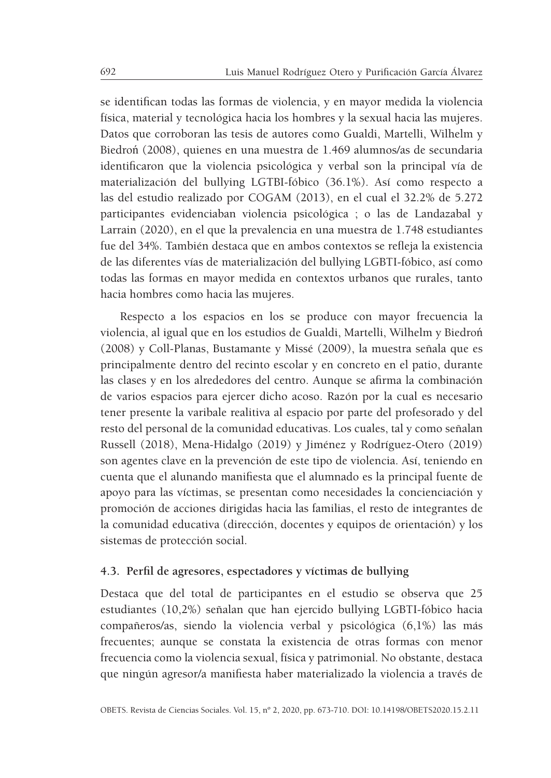se identifican todas las formas de violencia, y en mayor medida la violencia física, material y tecnológica hacia los hombres y la sexual hacia las mujeres. Datos que corroboran las tesis de autores como Gualdi, Martelli, Wilhelm y Biedroń (2008), quienes en una muestra de 1.469 alumnos/as de secundaria identificaron que la violencia psicológica y verbal son la principal vía de materialización del bullying LGTBI-fóbico (36.1%). Así como respecto a las del estudio realizado por COGAM (2013), en el cual el 32.2% de 5.272 participantes evidenciaban violencia psicológica ; o las de Landazabal y Larrain (2020), en el que la prevalencia en una muestra de 1.748 estudiantes fue del 34%. También destaca que en ambos contextos se refleja la existencia de las diferentes vías de materialización del bullying LGBTI-fóbico, así como todas las formas en mayor medida en contextos urbanos que rurales, tanto hacia hombres como hacia las mujeres.

Respecto a los espacios en los se produce con mayor frecuencia la violencia, al igual que en los estudios de Gualdi, Martelli, Wilhelm y Biedroń (2008) y Coll-Planas, Bustamante y Missé (2009), la muestra señala que es principalmente dentro del recinto escolar y en concreto en el patio, durante las clases y en los alrededores del centro. Aunque se afirma la combinación de varios espacios para ejercer dicho acoso. Razón por la cual es necesario tener presente la varibale realitiva al espacio por parte del profesorado y del resto del personal de la comunidad educativas. Los cuales, tal y como señalan Russell (2018), Mena-Hidalgo (2019) y Jiménez y Rodríguez-Otero (2019) son agentes clave en la prevención de este tipo de violencia. Así, teniendo en cuenta que el alunando manifiesta que el alumnado es la principal fuente de apoyo para las víctimas, se presentan como necesidades la concienciación y promoción de acciones dirigidas hacia las familias, el resto de integrantes de la comunidad educativa (dirección, docentes y equipos de orientación) y los sistemas de protección social.

#### **4.3. Perfil de agresores, espectadores y víctimas de bullying**

Destaca que del total de participantes en el estudio se observa que 25 estudiantes (10,2%) señalan que han ejercido bullying LGBTI-fóbico hacia compañeros/as, siendo la violencia verbal y psicológica (6,1%) las más frecuentes; aunque se constata la existencia de otras formas con menor frecuencia como la violencia sexual, física y patrimonial. No obstante, destaca que ningún agresor/a manifiesta haber materializado la violencia a través de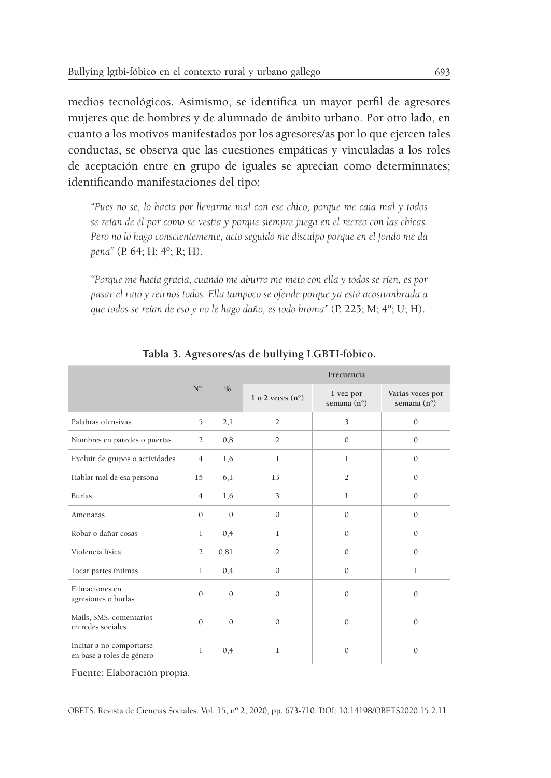medios tecnológicos. Asimismo, se identifica un mayor perfil de agresores mujeres que de hombres y de alumnado de ámbito urbano. Por otro lado, en cuanto a los motivos manifestados por los agresores/as por lo que ejercen tales conductas, se observa que las cuestiones empáticas y vinculadas a los roles de aceptación entre en grupo de iguales se aprecian como determinnates; identificando manifestaciones del tipo:

*"Pues no se, lo hacía por llevarme mal con ese chico, porque me caía mal y todos se reían de él por como se vestía y porque siempre juega en el recreo con las chicas. Pero no lo hago conscientemente, acto seguido me disculpo porque en el fondo me da pena"* (P. 64; H; 4º; R; H).

*"Porque me hacía gracia, cuando me aburro me meto con ella y todos se ríen, es por pasar el rato y reirnos todos. Ella tampoco se ofende porque ya está acostumbrada a que todos se reían de eso y no le hago daño, es todo broma"* (P. 225; M; 4º; U; H).

|                                                       |                |               | Frecuencia                |                                   |                                          |  |  |  |  |
|-------------------------------------------------------|----------------|---------------|---------------------------|-----------------------------------|------------------------------------------|--|--|--|--|
|                                                       | $N^{\rm o}$    | $\frac{0}{0}$ | 1 o 2 veces $(n^{\circ})$ | 1 vez por<br>semana $(n^{\circ})$ | Varias veces por<br>semana $(n^{\circ})$ |  |  |  |  |
| Palabras ofensivas                                    | 5              | 2,1           | $\overline{2}$            | 3                                 | $\mathbf{0}$                             |  |  |  |  |
| Nombres en paredes o puertas                          | $\overline{2}$ | 0,8           | $\overline{2}$            | $\mathbf{0}$                      | $\mathbf{0}$                             |  |  |  |  |
| Excluir de grupos o actividades                       | $\overline{4}$ | 1,6           | 1                         | $\mathbf{1}$                      | $\mathbf{0}$                             |  |  |  |  |
| Hablar mal de esa persona                             | 15             | 6,1           | 13                        | $\overline{2}$                    | $\mathbf{0}$                             |  |  |  |  |
| <b>Burlas</b>                                         | $\overline{4}$ | 1,6           | 3                         | $\mathbf{1}$                      | $\mathbf{0}$                             |  |  |  |  |
| Amenazas                                              | $\Omega$       | $\Omega$      | $\mathbf{0}$              | $\mathbf{0}$                      | $\mathbf{0}$                             |  |  |  |  |
| Robar o dañar cosas                                   | $\mathbf{1}$   | 0,4           | $\mathbf{1}$              | $\mathbf{0}$                      | $\mathbf{0}$                             |  |  |  |  |
| Violencia física                                      | $\overline{2}$ | 0,81          | $\overline{2}$            | $\mathbf{0}$                      | $\Omega$                                 |  |  |  |  |
| Tocar partes intimas                                  | $\mathbf{1}$   | 0,4           | $\mathbf{0}$              | $\mathbf{0}$                      | 1                                        |  |  |  |  |
| Filmaciones en<br>agresiones o burlas                 | $\mathbf{0}$   | $\mathbf{0}$  | $\mathbf{0}$              | $\mathbf{0}$                      | $\mathbf{0}$                             |  |  |  |  |
| Mails, SMS, comentarios<br>en redes sociales          | $\Omega$       | $\Omega$      | $\Omega$                  | $\mathbf{0}$                      | $\mathbf{0}$                             |  |  |  |  |
| Incitar a no comportarse<br>en base a roles de género | $\mathbf{1}$   | 0,4           | 1                         | $\mathbf{0}$                      | $\mathbf{0}$                             |  |  |  |  |

**Tabla 3. Agresores/as de bullying LGBTI-fóbico.**

Fuente: Elaboración propia.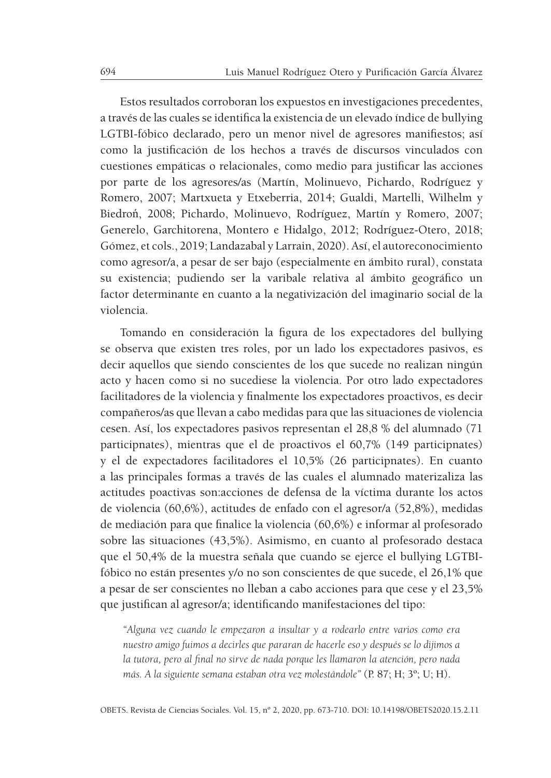Estos resultados corroboran los expuestos en investigaciones precedentes, a través de las cuales se identifica la existencia de un elevado índice de bullying LGTBI-fóbico declarado, pero un menor nivel de agresores manifiestos; así como la justificación de los hechos a través de discursos vinculados con cuestiones empáticas o relacionales, como medio para justificar las acciones por parte de los agresores/as (Martín, Molinuevo, Pichardo, Rodríguez y Romero, 2007; Martxueta y Etxeberria, 2014; Gualdi, Martelli, Wilhelm y Biedroń, 2008; Pichardo, Molinuevo, Rodríguez, Martín y Romero, 2007; Generelo, Garchitorena, Montero e Hidalgo, 2012; Rodríguez-Otero, 2018; Gómez, et cols., 2019; Landazabal y Larrain, 2020). Así, el autoreconocimiento como agresor/a, a pesar de ser bajo (especialmente en ámbito rural), constata su existencia; pudiendo ser la varibale relativa al ámbito geográfico un factor determinante en cuanto a la negativización del imaginario social de la violencia.

Tomando en consideración la figura de los expectadores del bullying se observa que existen tres roles, por un lado los expectadores pasivos, es decir aquellos que siendo conscientes de los que sucede no realizan ningún acto y hacen como si no sucediese la violencia. Por otro lado expectadores facilitadores de la violencia y finalmente los expectadores proactivos, es decir compañeros/as que llevan a cabo medidas para que las situaciones de violencia cesen. Así, los expectadores pasivos representan el 28,8 % del alumnado (71 participnates), mientras que el de proactivos el 60,7% (149 participnates) y el de expectadores facilitadores el 10,5% (26 participnates). En cuanto a las principales formas a través de las cuales el alumnado materizaliza las actitudes poactivas son:acciones de defensa de la víctima durante los actos de violencia (60,6%), actitudes de enfado con el agresor/a (52,8%), medidas de mediación para que finalice la violencia (60,6%) e informar al profesorado sobre las situaciones (43,5%). Asimismo, en cuanto al profesorado destaca que el 50,4% de la muestra señala que cuando se ejerce el bullying LGTBIfóbico no están presentes y/o no son conscientes de que sucede, el 26,1% que a pesar de ser conscientes no lleban a cabo acciones para que cese y el 23,5% que justifican al agresor/a; identificando manifestaciones del tipo:

*"Alguna vez cuando le empezaron a insultar y a rodearlo entre varios como era nuestro amigo fuimos a decirles que pararan de hacerle eso y después se lo dijimos a la tutora, pero al final no sirve de nada porque les llamaron la atención, pero nada más. A la siguiente semana estaban otra vez molestándole"* (P. 87; H; 3º; U; H).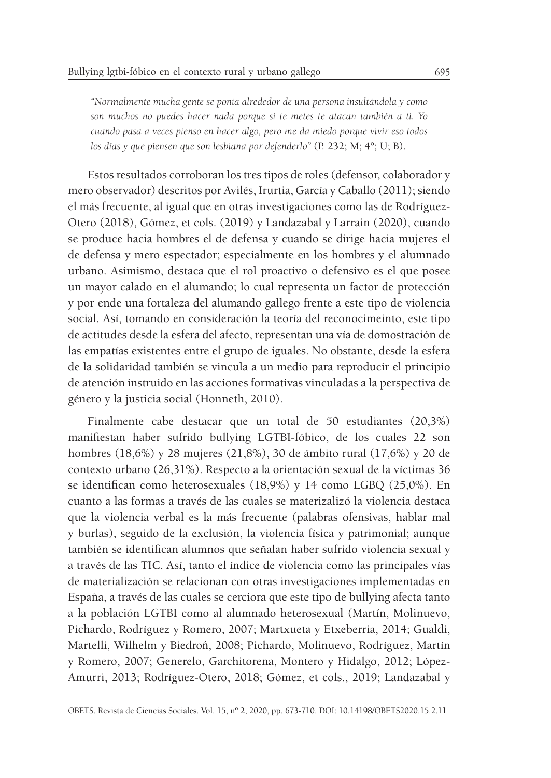*"Normalmente mucha gente se ponía alrededor de una persona insultándola y como son muchos no puedes hacer nada porque si te metes te atacan también a ti. Yo cuando pasa a veces pienso en hacer algo, pero me da miedo porque vivir eso todos los días y que piensen que son lesbiana por defenderlo"* (P. 232; M; 4º; U; B).

Estos resultados corroboran los tres tipos de roles (defensor, colaborador y mero observador) descritos por Avilés, Irurtia, García y Caballo (2011); siendo el más frecuente, al igual que en otras investigaciones como las de Rodríguez-Otero (2018), Gómez, et cols. (2019) y Landazabal y Larrain (2020), cuando se produce hacia hombres el de defensa y cuando se dirige hacia mujeres el de defensa y mero espectador; especialmente en los hombres y el alumnado urbano. Asimismo, destaca que el rol proactivo o defensivo es el que posee un mayor calado en el alumando; lo cual representa un factor de protección y por ende una fortaleza del alumando gallego frente a este tipo de violencia social. Así, tomando en consideración la teoría del reconocimeinto, este tipo de actitudes desde la esfera del afecto, representan una vía de domostración de las empatías existentes entre el grupo de iguales. No obstante, desde la esfera de la solidaridad también se vincula a un medio para reproducir el principio de atención instruido en las acciones formativas vinculadas a la perspectiva de género y la justicia social (Honneth, 2010).

Finalmente cabe destacar que un total de 50 estudiantes (20,3%) manifiestan haber sufrido bullying LGTBI-fóbico, de los cuales 22 son hombres (18,6%) y 28 mujeres (21,8%), 30 de ámbito rural (17,6%) y 20 de contexto urbano (26,31%). Respecto a la orientación sexual de la víctimas 36 se identifican como heterosexuales (18,9%) y 14 como LGBQ (25,0%). En cuanto a las formas a través de las cuales se materizalizó la violencia destaca que la violencia verbal es la más frecuente (palabras ofensivas, hablar mal y burlas), seguido de la exclusión, la violencia física y patrimonial; aunque también se identifican alumnos que señalan haber sufrido violencia sexual y a través de las TIC. Así, tanto el índice de violencia como las principales vías de materialización se relacionan con otras investigaciones implementadas en España, a través de las cuales se cerciora que este tipo de bullying afecta tanto a la población LGTBI como al alumnado heterosexual (Martín, Molinuevo, Pichardo, Rodríguez y Romero, 2007; Martxueta y Etxeberria, 2014; Gualdi, Martelli, Wilhelm y Biedroń, 2008; Pichardo, Molinuevo, Rodríguez, Martín y Romero, 2007; Generelo, Garchitorena, Montero y Hidalgo, 2012; López-Amurri, 2013; Rodríguez-Otero, 2018; Gómez, et cols., 2019; Landazabal y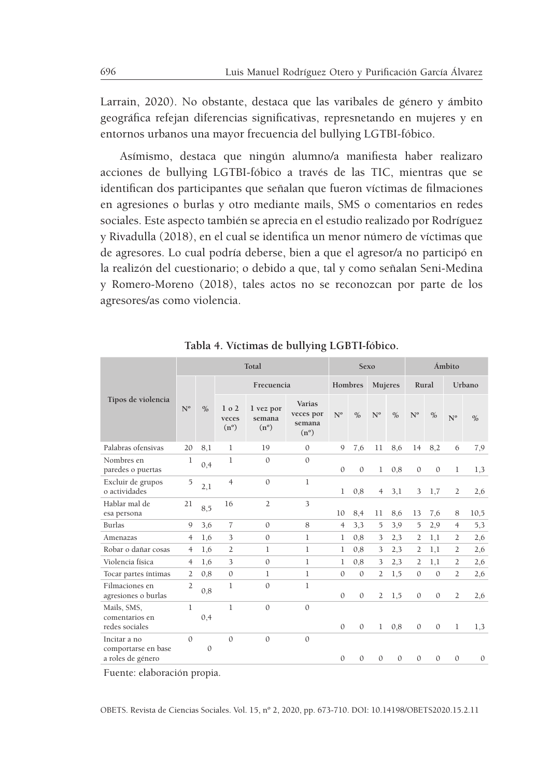Larrain, 2020). No obstante, destaca que las varibales de género y ámbito geográfica refejan diferencias significativas, represnetando en mujeres y en entornos urbanos una mayor frecuencia del bullying LGTBI-fóbico.

Asímismo, destaca que ningún alumno/a manifiesta haber realizaro acciones de bullying LGTBI-fóbico a través de las TIC, mientras que se identifican dos participantes que señalan que fueron víctimas de filmaciones en agresiones o burlas y otro mediante mails, SMS o comentarios en redes sociales. Este aspecto también se aprecia en el estudio realizado por Rodríguez y Rivadulla (2018), en el cual se identifica un menor número de víctimas que de agresores. Lo cual podría deberse, bien a que el agresor/a no participó en la realizón del cuestionario; o debido a que, tal y como señalan Seni-Medina y Romero-Moreno (2018), tales actos no se reconozcan por parte de los agresores/as como violencia.

|                                                          |                |               | Total                                      | Sexo                                 |                                                |                |               | Ámbito         |               |                |              |                |               |
|----------------------------------------------------------|----------------|---------------|--------------------------------------------|--------------------------------------|------------------------------------------------|----------------|---------------|----------------|---------------|----------------|--------------|----------------|---------------|
|                                                          |                |               | Frecuencia                                 |                                      |                                                |                | Hombres       | Mujeres        |               | Rural          |              | Urbano         |               |
| Tipos de violencia                                       | $N^{\rm o}$    | $\frac{0}{0}$ | 1 <sub>0</sub> 2<br>veces<br>$(n^{\circ})$ | 1 vez por<br>semana<br>$(n^{\circ})$ | Varias<br>veces por<br>semana<br>$(n^{\circ})$ | $N^{\rm o}$    | $\frac{0}{0}$ | $N^{\rm o}$    | $\frac{0}{0}$ | $N^{\text{o}}$ | $\%$         | $N^{\text{o}}$ | $\frac{0}{0}$ |
| Palabras ofensivas                                       | 20             | 8,1           | 1                                          | 19                                   | $\mathbf{0}$                                   | $\mathbf Q$    | 7,6           | 11             | 8,6           | 14             | 8,2          | 6              | 7,9           |
| Nombres en<br>paredes o puertas                          | 1              | 0,4           | 1                                          | $\mathbf{0}$                         | $\Omega$                                       | $\mathbf{0}$   | $\mathbf{0}$  | $\mathbf{1}$   | 0,8           | $\mathbf{0}$   | $\mathbf{0}$ | 1              | 1.3           |
| Excluir de grupos<br>o actividades                       | 5              | 2,1           | $\overline{4}$                             | $\mathbf{0}$                         | $\mathbf{1}$                                   | 1              | 0,8           | $\overline{4}$ | 3,1           | 3              | 1,7          | 2              | 2,6           |
| Hablar mal de<br>esa persona                             | 21             | 8,5           | 16                                         | $\overline{2}$                       | 3                                              | 10             | 8,4           | 11             | 8,6           | 13             | 7,6          | 8              | 10,5          |
| Burlas                                                   | 9              | 3,6           | $\overline{7}$                             | $\Omega$                             | 8                                              | $\overline{4}$ | 3.3           | 5              | 3,9           | 5              | 2,9          | $\overline{4}$ | 5,3           |
| Amenazas                                                 | $\overline{4}$ | 1,6           | 3                                          | $\mathbf{0}$                         | 1                                              | 1              | 0,8           | 3              | 2,3           | 2              | 1,1          | $\overline{2}$ | 2,6           |
| Robar o dañar cosas                                      | 4              | 1,6           | $\overline{2}$                             | $\mathbf{1}$                         | 1                                              | 1              | 0,8           | 3              | 2,3           | 2              | 1,1          | 2              | 2,6           |
| Violencia física                                         | 4              | 1,6           | 3                                          | $\mathbf{0}$                         | 1                                              | 1              | 0,8           | 3              | 2,3           | 2              | 1,1          | $\overline{2}$ | 2,6           |
| Tocar partes íntimas                                     | 2              | 0,8           | $\Omega$                                   | 1                                    | 1                                              | $\Omega$       | $\Omega$      | $\overline{2}$ | 1,5           | $\Omega$       | $\Omega$     | $\overline{2}$ | 2,6           |
| Filmaciones en<br>agresiones o burlas                    | $\overline{2}$ | 0,8           | 1                                          | $\mathbf{0}$                         | 1                                              | $\mathbf{0}$   | $\mathbf{0}$  | $\overline{2}$ | 1,5           | $\mathbf{0}$   | $\mathbf{0}$ | $\overline{2}$ | 2,6           |
| Mails, SMS,<br>comentarios en                            | 1              |               | $\mathbf{1}$                               | $\Omega$                             | $\Omega$                                       |                |               |                |               |                |              |                |               |
| redes sociales                                           |                | 0,4           |                                            |                                      |                                                | $\mathbf{0}$   | $\mathbf{0}$  | $\mathbf{1}$   | 0,8           | $\mathbf{0}$   | $\mathbf{0}$ | 1              | 1.3           |
| Incitar a no<br>comportarse en base<br>a roles de género | $\Omega$       | $\Omega$      | $\Omega$                                   | $\mathbf{0}$                         | $\Omega$                                       | $\Omega$       | $\Omega$      | $\Omega$       | $\Omega$      | $\Omega$       | $\Omega$     | $\Omega$       | $\mathbf{0}$  |
|                                                          |                |               |                                            |                                      |                                                |                |               |                |               |                |              |                |               |

**Tabla 4. Víctimas de bullying LGBTI-fóbico.**

Fuente: elaboración propia.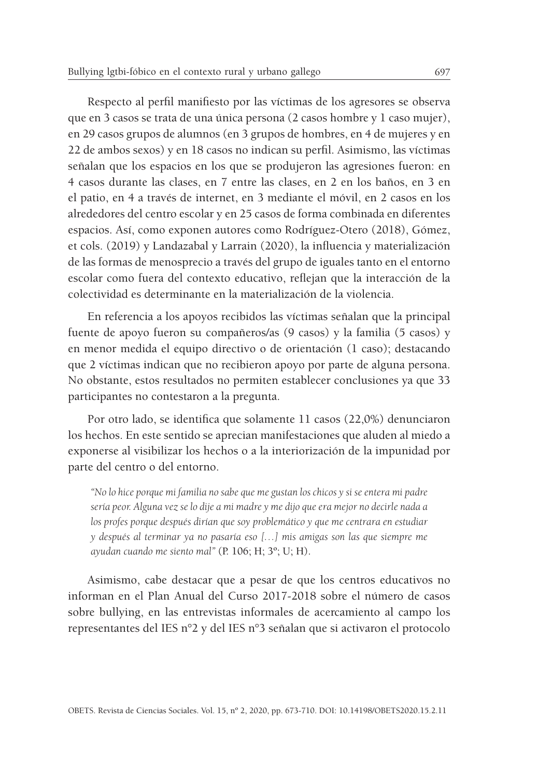Respecto al perfil manifiesto por las víctimas de los agresores se observa que en 3 casos se trata de una única persona (2 casos hombre y 1 caso mujer), en 29 casos grupos de alumnos (en 3 grupos de hombres, en 4 de mujeres y en 22 de ambos sexos) y en 18 casos no indican su perfil. Asimismo, las víctimas señalan que los espacios en los que se produjeron las agresiones fueron: en 4 casos durante las clases, en 7 entre las clases, en 2 en los baños, en 3 en el patio, en 4 a través de internet, en 3 mediante el móvil, en 2 casos en los alrededores del centro escolar y en 25 casos de forma combinada en diferentes espacios. Así, como exponen autores como Rodríguez-Otero (2018), Gómez, et cols. (2019) y Landazabal y Larrain (2020), la influencia y materialización de las formas de menosprecio a través del grupo de iguales tanto en el entorno escolar como fuera del contexto educativo, reflejan que la interacción de la colectividad es determinante en la materialización de la violencia.

En referencia a los apoyos recibidos las víctimas señalan que la principal fuente de apoyo fueron su compañeros/as (9 casos) y la familia (5 casos) y en menor medida el equipo directivo o de orientación (1 caso); destacando que 2 víctimas indican que no recibieron apoyo por parte de alguna persona. No obstante, estos resultados no permiten establecer conclusiones ya que 33 participantes no contestaron a la pregunta.

Por otro lado, se identifica que solamente 11 casos (22,0%) denunciaron los hechos. En este sentido se aprecian manifestaciones que aluden al miedo a exponerse al visibilizar los hechos o a la interiorización de la impunidad por parte del centro o del entorno.

*"No lo hice porque mi familia no sabe que me gustan los chicos y si se entera mi padre sería peor. Alguna vez se lo dije a mi madre y me dijo que era mejor no decirle nada a los profes porque después dirían que soy problemático y que me centrara en estudiar y después al terminar ya no pasaría eso […] mis amigas son las que siempre me ayudan cuando me siento mal"* (P. 106; H; 3º; U; H).

Asimismo, cabe destacar que a pesar de que los centros educativos no informan en el Plan Anual del Curso 2017-2018 sobre el número de casos sobre bullying, en las entrevistas informales de acercamiento al campo los representantes del IES n°2 y del IES n°3 señalan que si activaron el protocolo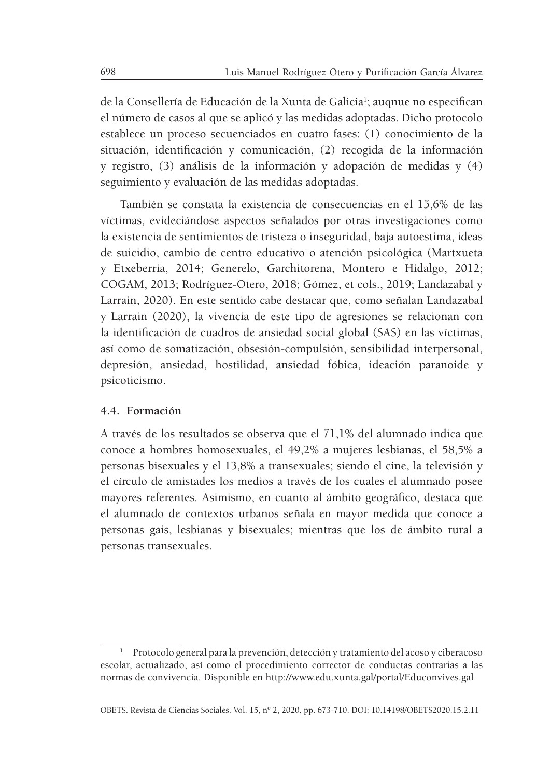de la Consellería de Educación de la Xunta de Galicia<sup>1</sup>; auqnue no especifican el número de casos al que se aplicó y las medidas adoptadas. Dicho protocolo establece un proceso secuenciados en cuatro fases: (1) conocimiento de la situación, identificación y comunicación, (2) recogida de la información y registro, (3) análisis de la información y adopación de medidas y (4) seguimiento y evaluación de las medidas adoptadas.

También se constata la existencia de consecuencias en el 15,6% de las víctimas, evideciándose aspectos señalados por otras investigaciones como la existencia de sentimientos de tristeza o inseguridad, baja autoestima, ideas de suicidio, cambio de centro educativo o atención psicológica (Martxueta y Etxeberria, 2014; Generelo, Garchitorena, Montero e Hidalgo, 2012; COGAM, 2013; Rodríguez-Otero, 2018; Gómez, et cols., 2019; Landazabal y Larrain, 2020). En este sentido cabe destacar que, como señalan Landazabal y Larrain (2020), la vivencia de este tipo de agresiones se relacionan con la identificación de cuadros de ansiedad social global (SAS) en las víctimas, así como de somatización, obsesión-compulsión, sensibilidad interpersonal, depresión, ansiedad, hostilidad, ansiedad fóbica, ideación paranoide y psicoticismo.

## **4.4. Formación**

A través de los resultados se observa que el 71,1% del alumnado indica que conoce a hombres homosexuales, el 49,2% a mujeres lesbianas, el 58,5% a personas bisexuales y el 13,8% a transexuales; siendo el cine, la televisión y el círculo de amistades los medios a través de los cuales el alumnado posee mayores referentes. Asimismo, en cuanto al ámbito geográfico, destaca que el alumnado de contextos urbanos señala en mayor medida que conoce a personas gais, lesbianas y bisexuales; mientras que los de ámbito rural a personas transexuales.

<sup>&</sup>lt;sup>1</sup> Protocolo general para la prevención, detección y tratamiento del acoso y ciberacoso escolar, actualizado, así como el procedimiento corrector de conductas contrarias a las normas de convivencia. Disponible en http://www.edu.xunta.gal/portal/Educonvives.gal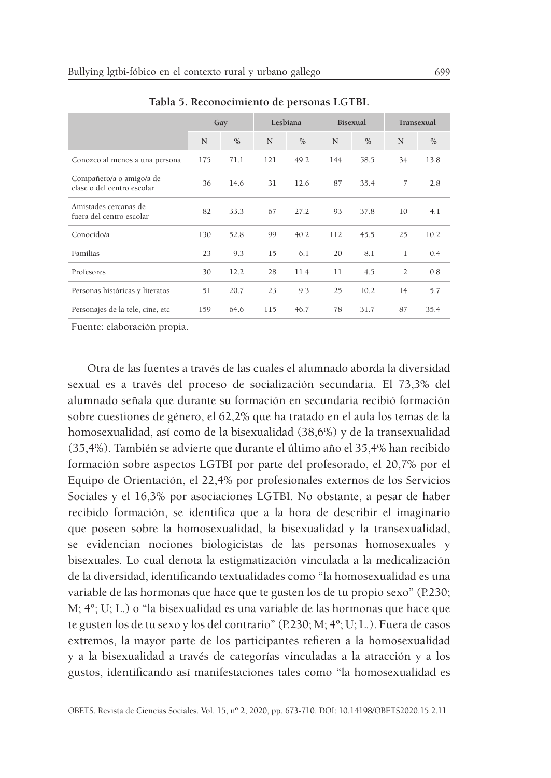|                                                        | Gay |               |     | Lesbiana      | <b>Bisexual</b> |               | Transexual     |               |  |
|--------------------------------------------------------|-----|---------------|-----|---------------|-----------------|---------------|----------------|---------------|--|
|                                                        | N   | $\frac{0}{0}$ | N   | $\frac{0}{0}$ | N               | $\frac{0}{0}$ | N              | $\frac{0}{0}$ |  |
| Conozco al menos a una persona                         | 175 | 71.1          | 121 | 49.2          | 144             | 58.5          | 34             | 13.8          |  |
| Compañero/a o amigo/a de<br>clase o del centro escolar | 36  | 14.6          | 31  | 12.6          | 87              | 35.4          | 7              | 2.8           |  |
| Amistades cercanas de<br>fuera del centro escolar      | 82  | 33.3          | 67  | 27.2          | 93              | 37.8          | 10             | 4.1           |  |
| Conocido/a                                             | 130 | 52.8          | 99  | 40.2          | 112             | 45.5          | 25             | 10.2          |  |
| Familias                                               | 23  | 9.3           | 15  | 6.1           | 20              | 8.1           | 1              | 0.4           |  |
| Profesores                                             | 30  | 12.2          | 28  | 11.4          | 11              | 4.5           | $\overline{2}$ | 0.8           |  |
| Personas históricas y literatos                        | 51  | 20.7          | 23  | 9.3           | 25              | 10.2          | 14             | 5.7           |  |
| Personajes de la tele, cine, etc                       | 159 | 64.6          | 115 | 46.7          | 78              | 31.7          | 87             | 35.4          |  |

**Tabla 5. Reconocimiento de personas LGTBI.**

Fuente: elaboración propia.

Otra de las fuentes a través de las cuales el alumnado aborda la diversidad sexual es a través del proceso de socialización secundaria. El 73,3% del alumnado señala que durante su formación en secundaria recibió formación sobre cuestiones de género, el 62,2% que ha tratado en el aula los temas de la homosexualidad, así como de la bisexualidad (38,6%) y de la transexualidad (35,4%). También se advierte que durante el último año el 35,4% han recibido formación sobre aspectos LGTBI por parte del profesorado, el 20,7% por el Equipo de Orientación, el 22,4% por profesionales externos de los Servicios Sociales y el 16,3% por asociaciones LGTBI. No obstante, a pesar de haber recibido formación, se identifica que a la hora de describir el imaginario que poseen sobre la homosexualidad, la bisexualidad y la transexualidad, se evidencian nociones biologicistas de las personas homosexuales y bisexuales. Lo cual denota la estigmatización vinculada a la medicalización de la diversidad, identificando textualidades como "la homosexualidad es una variable de las hormonas que hace que te gusten los de tu propio sexo" (P.230; M; 4º; U; L.) o "la bisexualidad es una variable de las hormonas que hace que te gusten los de tu sexo y los del contrario" (P.230; M; 4º; U; L.). Fuera de casos extremos, la mayor parte de los participantes refieren a la homosexualidad y a la bisexualidad a través de categorías vinculadas a la atracción y a los gustos, identificando así manifestaciones tales como "la homosexualidad es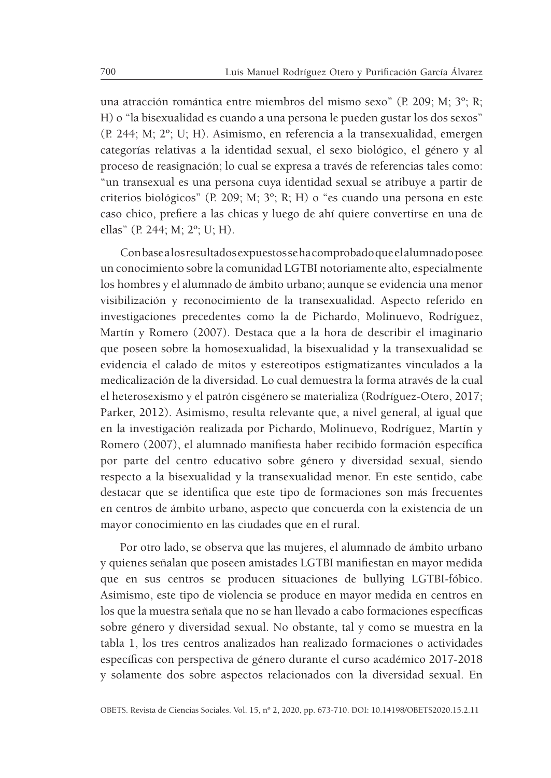una atracción romántica entre miembros del mismo sexo" (P. 209; M; 3º; R; H) o "la bisexualidad es cuando a una persona le pueden gustar los dos sexos" (P. 244; M; 2º; U; H). Asimismo, en referencia a la transexualidad, emergen categorías relativas a la identidad sexual, el sexo biológico, el género y al proceso de reasignación; lo cual se expresa a través de referencias tales como: "un transexual es una persona cuya identidad sexual se atribuye a partir de criterios biológicos" (P. 209; M; 3º; R; H) o "es cuando una persona en este caso chico, prefiere a las chicas y luego de ahí quiere convertirse en una de ellas" (P. 244; M; 2º; U; H).

Con base a los resultados expuestos se ha comprobado que el alumnado posee un conocimiento sobre la comunidad LGTBI notoriamente alto, especialmente los hombres y el alumnado de ámbito urbano; aunque se evidencia una menor visibilización y reconocimiento de la transexualidad. Aspecto referido en investigaciones precedentes como la de Pichardo, Molinuevo, Rodríguez, Martín y Romero (2007). Destaca que a la hora de describir el imaginario que poseen sobre la homosexualidad, la bisexualidad y la transexualidad se evidencia el calado de mitos y estereotipos estigmatizantes vinculados a la medicalización de la diversidad. Lo cual demuestra la forma através de la cual el heterosexismo y el patrón cisgénero se materializa (Rodríguez-Otero, 2017; Parker, 2012). Asimismo, resulta relevante que, a nivel general, al igual que en la investigación realizada por Pichardo, Molinuevo, Rodríguez, Martín y Romero (2007), el alumnado manifiesta haber recibido formación específica por parte del centro educativo sobre género y diversidad sexual, siendo respecto a la bisexualidad y la transexualidad menor. En este sentido, cabe destacar que se identifica que este tipo de formaciones son más frecuentes en centros de ámbito urbano, aspecto que concuerda con la existencia de un mayor conocimiento en las ciudades que en el rural.

Por otro lado, se observa que las mujeres, el alumnado de ámbito urbano y quienes señalan que poseen amistades LGTBI manifiestan en mayor medida que en sus centros se producen situaciones de bullying LGTBI-fóbico. Asimismo, este tipo de violencia se produce en mayor medida en centros en los que la muestra señala que no se han llevado a cabo formaciones específicas sobre género y diversidad sexual. No obstante, tal y como se muestra en la tabla 1, los tres centros analizados han realizado formaciones o actividades específicas con perspectiva de género durante el curso académico 2017-2018 y solamente dos sobre aspectos relacionados con la diversidad sexual. En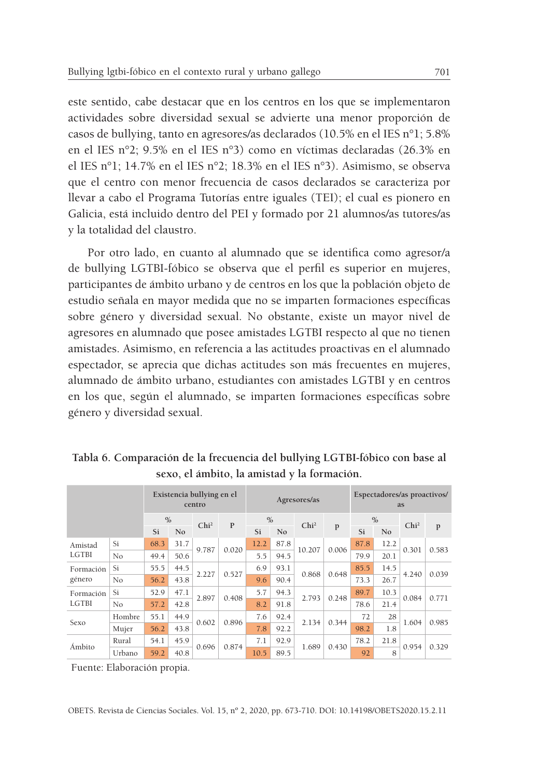este sentido, cabe destacar que en los centros en los que se implementaron actividades sobre diversidad sexual se advierte una menor proporción de casos de bullying, tanto en agresores/as declarados (10.5% en el IES n°1; 5.8% en el IES n°2; 9.5% en el IES n°3) como en víctimas declaradas (26.3% en el IES n°1; 14.7% en el IES n°2; 18.3% en el IES n°3). Asimismo, se observa que el centro con menor frecuencia de casos declarados se caracteriza por llevar a cabo el Programa Tutorías entre iguales (TEI); el cual es pionero en Galicia, está incluido dentro del PEI y formado por 21 alumnos/as tutores/as y la totalidad del claustro.

Por otro lado, en cuanto al alumnado que se identifica como agresor/a de bullying LGTBI-fóbico se observa que el perfil es superior en mujeres, participantes de ámbito urbano y de centros en los que la población objeto de estudio señala en mayor medida que no se imparten formaciones específicas sobre género y diversidad sexual. No obstante, existe un mayor nivel de agresores en alumnado que posee amistades LGTBI respecto al que no tienen amistades. Asimismo, en referencia a las actitudes proactivas en el alumnado espectador, se aprecia que dichas actitudes son más frecuentes en mujeres, alumnado de ámbito urbano, estudiantes con amistades LGTBI y en centros en los que, según el alumnado, se imparten formaciones específicas sobre género y diversidad sexual.

|                                                                                                                                                                                                                                                      |        |                      | Existencia bullying en el<br>centro |                  |              |                | Agresores/as |                  | Espectadores/as proactivos/<br>as |                |      |                                                           |       |
|------------------------------------------------------------------------------------------------------------------------------------------------------------------------------------------------------------------------------------------------------|--------|----------------------|-------------------------------------|------------------|--------------|----------------|--------------|------------------|-----------------------------------|----------------|------|-----------------------------------------------------------|-------|
|                                                                                                                                                                                                                                                      |        | $\frac{0}{0}$        |                                     | Chi <sup>2</sup> | $\mathbf{P}$ | $\frac{0}{0}$  |              | Chi <sup>2</sup> | p                                 | $\frac{0}{0}$  |      |                                                           |       |
|                                                                                                                                                                                                                                                      |        | Si<br>N <sub>0</sub> |                                     |                  | Si           | N <sub>0</sub> |              | Si               |                                   | N <sub>0</sub> |      | $\mathbf{p}$                                              |       |
| Amistad                                                                                                                                                                                                                                              | Si     | 68.3                 | 31.7                                |                  |              | 12.2           | 87.8         |                  |                                   | 87.8           | 12.2 |                                                           | 0.583 |
| 0.020<br>9.787<br>10.207<br>0.006<br><b>LGTBI</b><br>5.5<br>94.5<br>79.9<br>No<br>49.4<br>50.6<br>20.1<br>Si<br>55.5<br>6.9<br>93.1<br>44.5<br>85.5<br>14.5<br>2.227<br>0.527<br>0.868<br>0.648<br>43.8<br>90.4<br>73.3<br>No<br>9.6<br>26.7<br>56.2 |        |                      |                                     |                  |              |                |              |                  |                                   |                |      |                                                           |       |
| Formación                                                                                                                                                                                                                                            |        |                      |                                     |                  |              |                |              |                  |                                   |                |      | 4.240                                                     | 0.039 |
| género                                                                                                                                                                                                                                               |        |                      |                                     |                  |              |                |              |                  |                                   |                |      |                                                           |       |
| Formación                                                                                                                                                                                                                                            | Si     | 52.9                 | 47.1                                |                  |              | 5.7            | 94.3         | 2.793            |                                   | 89.7           | 10.3 | Chi <sup>2</sup><br>0.301<br>0.084<br>1.604<br>0.954<br>8 | 0.771 |
| <b>LGTBI</b>                                                                                                                                                                                                                                         | No     | 57.2                 | 42.8                                | 2.897            | 0.408        | 8.2            | 91.8         |                  | 0.248                             | 78.6           | 21.4 |                                                           |       |
|                                                                                                                                                                                                                                                      | Hombre | 55.1                 | 44.9                                |                  |              | 7.6            | 92.4         | 2.134            | 0.344                             | 72             | 28   |                                                           | 0.985 |
| Sexo                                                                                                                                                                                                                                                 | Mujer  | 56.2                 | 43.8                                | 0.602            | 0.896        | 7.8            | 92.2         |                  |                                   | 98.2           | 1.8  |                                                           |       |
|                                                                                                                                                                                                                                                      | Rural  | 54.1                 | 45.9                                |                  | 0.874        | 7.1            | 92.9         | 1.689            | 0.430                             | 78.2           | 21.8 |                                                           | 0.329 |
| Ámbito                                                                                                                                                                                                                                               | Urbano | 59.2                 | 40.8                                | 0.696            |              | 10.5           | 89.5         |                  |                                   | 92             |      |                                                           |       |

**Tabla 6. Comparación de la frecuencia del bullying LGTBI-fóbico con base al sexo, el ámbito, la amistad y la formación.**

Fuente: Elaboración propia.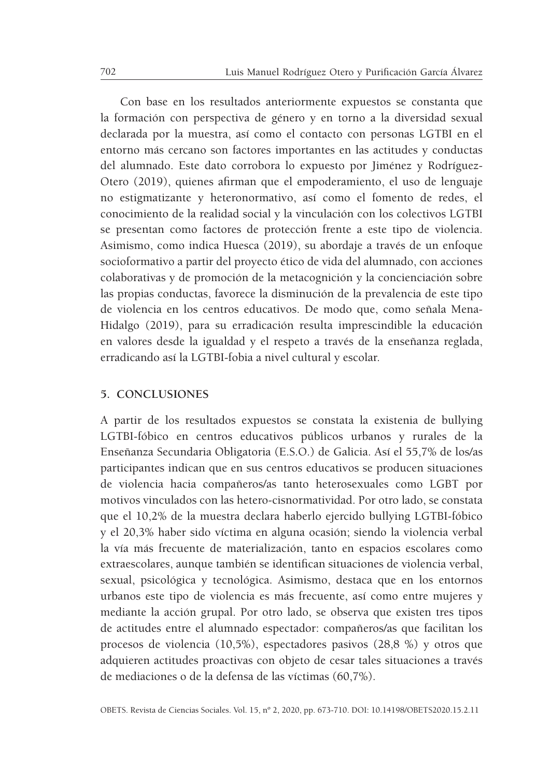Con base en los resultados anteriormente expuestos se constanta que la formación con perspectiva de género y en torno a la diversidad sexual declarada por la muestra, así como el contacto con personas LGTBI en el entorno más cercano son factores importantes en las actitudes y conductas del alumnado. Este dato corrobora lo expuesto por Jiménez y Rodríguez-Otero (2019), quienes afirman que el empoderamiento, el uso de lenguaje no estigmatizante y heteronormativo, así como el fomento de redes, el conocimiento de la realidad social y la vinculación con los colectivos LGTBI se presentan como factores de protección frente a este tipo de violencia. Asimismo, como indica Huesca (2019), su abordaje a través de un enfoque socioformativo a partir del proyecto ético de vida del alumnado, con acciones colaborativas y de promoción de la metacognición y la concienciación sobre las propias conductas, favorece la disminución de la prevalencia de este tipo de violencia en los centros educativos. De modo que, como señala Mena-Hidalgo (2019), para su erradicación resulta imprescindible la educación en valores desde la igualdad y el respeto a través de la enseñanza reglada, erradicando así la LGTBI-fobia a nivel cultural y escolar.

## **5. CONCLUSIONES**

A partir de los resultados expuestos se constata la existenia de bullying LGTBI-fóbico en centros educativos públicos urbanos y rurales de la Enseñanza Secundaria Obligatoria (E.S.O.) de Galicia. Así el 55,7% de los/as participantes indican que en sus centros educativos se producen situaciones de violencia hacia compañeros/as tanto heterosexuales como LGBT por motivos vinculados con las hetero-cisnormatividad. Por otro lado, se constata que el 10,2% de la muestra declara haberlo ejercido bullying LGTBI-fóbico y el 20,3% haber sido víctima en alguna ocasión; siendo la violencia verbal la vía más frecuente de materialización, tanto en espacios escolares como extraescolares, aunque también se identifican situaciones de violencia verbal, sexual, psicológica y tecnológica. Asimismo, destaca que en los entornos urbanos este tipo de violencia es más frecuente, así como entre mujeres y mediante la acción grupal. Por otro lado, se observa que existen tres tipos de actitudes entre el alumnado espectador: compañeros/as que facilitan los procesos de violencia (10,5%), espectadores pasivos (28,8 %) y otros que adquieren actitudes proactivas con objeto de cesar tales situaciones a través de mediaciones o de la defensa de las víctimas (60,7%).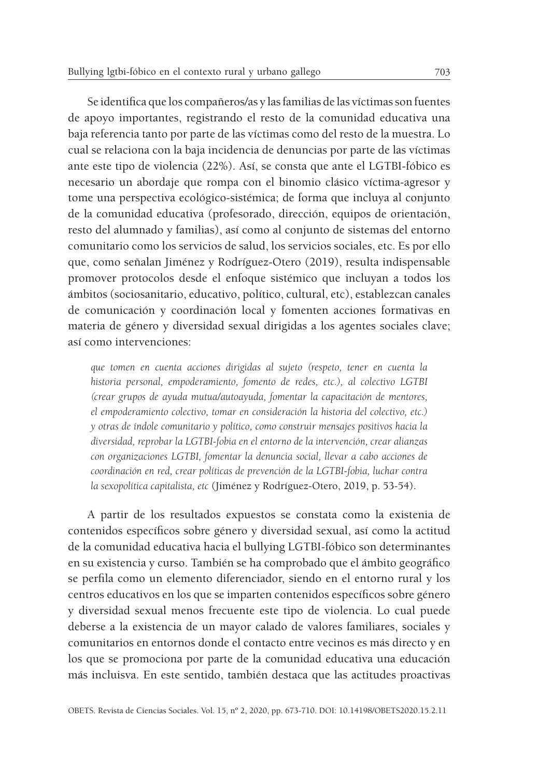Se identifica que los compañeros/as y las familias de las víctimas son fuentes de apoyo importantes, registrando el resto de la comunidad educativa una baja referencia tanto por parte de las víctimas como del resto de la muestra. Lo cual se relaciona con la baja incidencia de denuncias por parte de las víctimas ante este tipo de violencia (22%). Así, se consta que ante el LGTBI-fóbico es necesario un abordaje que rompa con el binomio clásico víctima-agresor y tome una perspectiva ecológico-sistémica; de forma que incluya al conjunto de la comunidad educativa (profesorado, dirección, equipos de orientación, resto del alumnado y familias), así como al conjunto de sistemas del entorno comunitario como los servicios de salud, los servicios sociales, etc. Es por ello que, como señalan Jiménez y Rodríguez-Otero (2019), resulta indispensable promover protocolos desde el enfoque sistémico que incluyan a todos los ámbitos (sociosanitario, educativo, político, cultural, etc), establezcan canales de comunicación y coordinación local y fomenten acciones formativas en materia de género y diversidad sexual dirigidas a los agentes sociales clave; así como intervenciones:

*que tomen en cuenta acciones dirigidas al sujeto (respeto, tener en cuenta la historia personal, empoderamiento, fomento de redes, etc.), al colectivo LGTBI (crear grupos de ayuda mutua/autoayuda, fomentar la capacitación de mentores, el empoderamiento colectivo, tomar en consideración la historia del colectivo, etc.) y otras de índole comunitario y político, como construir mensajes positivos hacia la diversidad, reprobar la LGTBI-fobia en el entorno de la intervención, crear alianzas con organizaciones LGTBI, fomentar la denuncia social, llevar a cabo acciones de coordinación en red, crear políticas de prevención de la LGTBI-fobia, luchar contra la sexopolítica capitalista, etc* (Jiménez y Rodríguez-Otero, 2019, p. 53-54).

A partir de los resultados expuestos se constata como la existenia de contenidos específicos sobre género y diversidad sexual, así como la actitud de la comunidad educativa hacia el bullying LGTBI-fóbico son determinantes en su existencia y curso. También se ha comprobado que el ámbito geográfico se perfila como un elemento diferenciador, siendo en el entorno rural y los centros educativos en los que se imparten contenidos específicos sobre género y diversidad sexual menos frecuente este tipo de violencia. Lo cual puede deberse a la existencia de un mayor calado de valores familiares, sociales y comunitarios en entornos donde el contacto entre vecinos es más directo y en los que se promociona por parte de la comunidad educativa una educación más incluisva. En este sentido, también destaca que las actitudes proactivas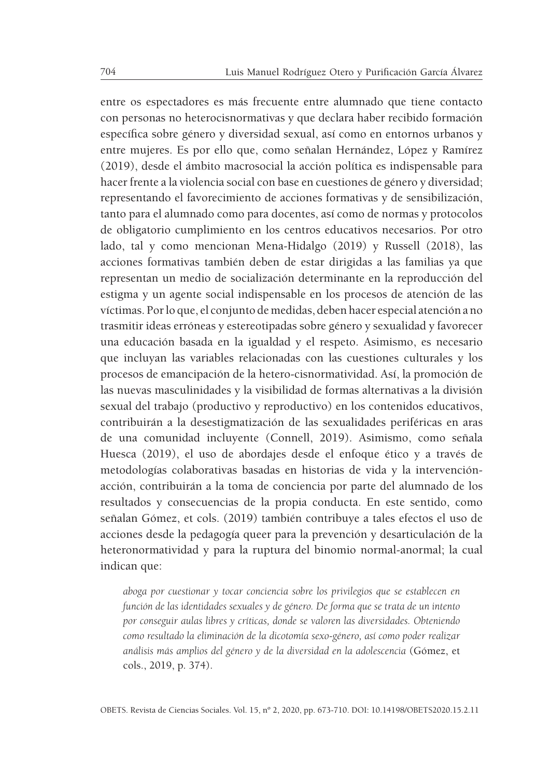entre os espectadores es más frecuente entre alumnado que tiene contacto con personas no heterocisnormativas y que declara haber recibido formación específica sobre género y diversidad sexual, así como en entornos urbanos y entre mujeres. Es por ello que, como señalan Hernández, López y Ramírez (2019), desde el ámbito macrosocial la acción política es indispensable para hacer frente a la violencia social con base en cuestiones de género y diversidad; representando el favorecimiento de acciones formativas y de sensibilización, tanto para el alumnado como para docentes, así como de normas y protocolos de obligatorio cumplimiento en los centros educativos necesarios. Por otro lado, tal y como mencionan Mena-Hidalgo (2019) y Russell (2018), las acciones formativas también deben de estar dirigidas a las familias ya que representan un medio de socialización determinante en la reproducción del estigma y un agente social indispensable en los procesos de atención de las víctimas. Por lo que, el conjunto de medidas, deben hacer especial atención a no trasmitir ideas erróneas y estereotipadas sobre género y sexualidad y favorecer una educación basada en la igualdad y el respeto. Asimismo, es necesario que incluyan las variables relacionadas con las cuestiones culturales y los procesos de emancipación de la hetero-cisnormatividad. Así, la promoción de las nuevas masculinidades y la visibilidad de formas alternativas a la división sexual del trabajo (productivo y reproductivo) en los contenidos educativos, contribuirán a la desestigmatización de las sexualidades periféricas en aras de una comunidad incluyente (Connell, 2019). Asimismo, como señala Huesca (2019), el uso de abordajes desde el enfoque ético y a través de metodologías colaborativas basadas en historias de vida y la intervenciónacción, contribuirán a la toma de conciencia por parte del alumnado de los resultados y consecuencias de la propia conducta. En este sentido, como señalan Gómez, et cols. (2019) también contribuye a tales efectos el uso de acciones desde la pedagogía queer para la prevención y desarticulación de la heteronormatividad y para la ruptura del binomio normal-anormal; la cual indican que:

*aboga por cuestionar y tocar conciencia sobre los privilegios que se establecen en función de las identidades sexuales y de género. De forma que se trata de un intento por conseguir aulas libres y críticas, donde se valoren las diversidades. Obteniendo como resultado la eliminación de la dicotomía sexo-género, así como poder realizar análisis más amplios del género y de la diversidad en la adolescencia* (Gómez, et cols., 2019, p. 374).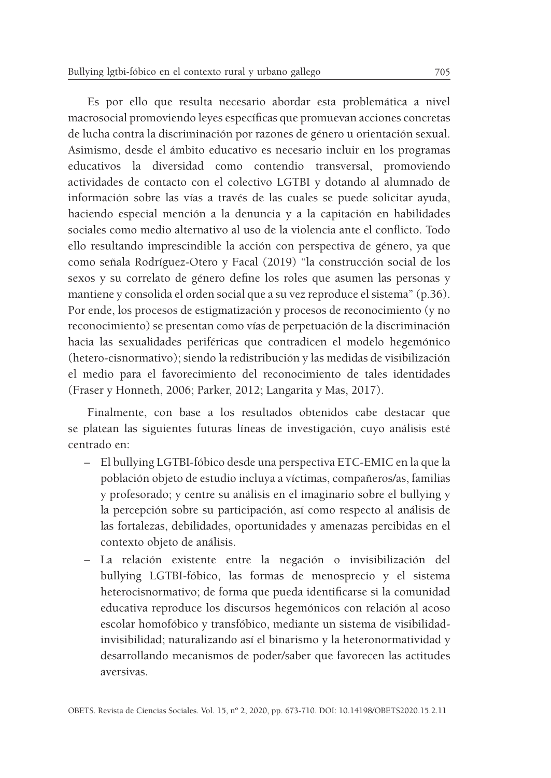Es por ello que resulta necesario abordar esta problemática a nivel macrosocial promoviendo leyes específicas que promuevan acciones concretas de lucha contra la discriminación por razones de género u orientación sexual. Asimismo, desde el ámbito educativo es necesario incluir en los programas educativos la diversidad como contendio transversal, promoviendo actividades de contacto con el colectivo LGTBI y dotando al alumnado de información sobre las vías a través de las cuales se puede solicitar ayuda, haciendo especial mención a la denuncia y a la capitación en habilidades sociales como medio alternativo al uso de la violencia ante el conflicto. Todo ello resultando imprescindible la acción con perspectiva de género, ya que como señala Rodríguez-Otero y Facal (2019) "la construcción social de los sexos y su correlato de género define los roles que asumen las personas y mantiene y consolida el orden social que a su vez reproduce el sistema" (p.36). Por ende, los procesos de estigmatización y procesos de reconocimiento (y no reconocimiento) se presentan como vías de perpetuación de la discriminación hacia las sexualidades periféricas que contradicen el modelo hegemónico (hetero-cisnormativo); siendo la redistribución y las medidas de visibilización el medio para el favorecimiento del reconocimiento de tales identidades (Fraser y Honneth, 2006; Parker, 2012; Langarita y Mas, 2017).

Finalmente, con base a los resultados obtenidos cabe destacar que se platean las siguientes futuras líneas de investigación, cuyo análisis esté centrado en:

- El bullying LGTBI-fóbico desde una perspectiva ETC-EMIC en la que la población objeto de estudio incluya a víctimas, compañeros/as, familias y profesorado; y centre su análisis en el imaginario sobre el bullying y la percepción sobre su participación, así como respecto al análisis de las fortalezas, debilidades, oportunidades y amenazas percibidas en el contexto objeto de análisis.
- La relación existente entre la negación o invisibilización del bullying LGTBI-fóbico, las formas de menosprecio y el sistema heterocisnormativo; de forma que pueda identificarse si la comunidad educativa reproduce los discursos hegemónicos con relación al acoso escolar homofóbico y transfóbico, mediante un sistema de visibilidadinvisibilidad; naturalizando así el binarismo y la heteronormatividad y desarrollando mecanismos de poder/saber que favorecen las actitudes aversivas.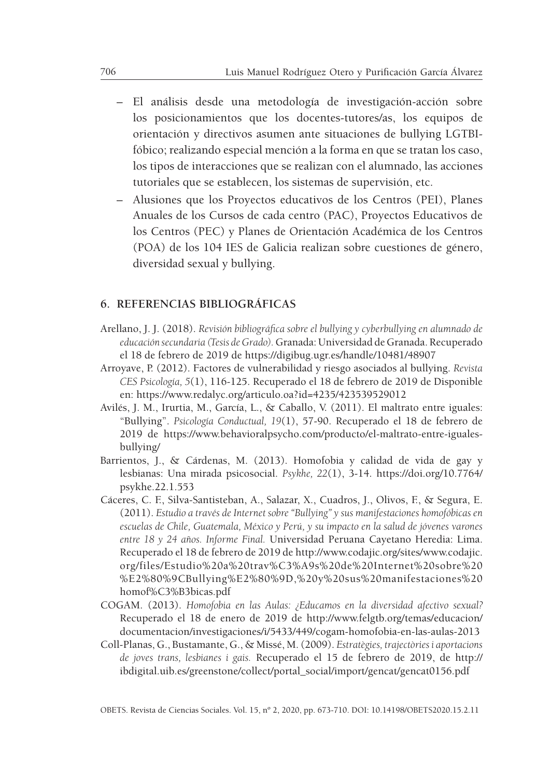- El análisis desde una metodología de investigación-acción sobre los posicionamientos que los docentes-tutores/as, los equipos de orientación y directivos asumen ante situaciones de bullying LGTBIfóbico; realizando especial mención a la forma en que se tratan los caso, los tipos de interacciones que se realizan con el alumnado, las acciones tutoriales que se establecen, los sistemas de supervisión, etc.
- Alusiones que los Proyectos educativos de los Centros (PEI), Planes Anuales de los Cursos de cada centro (PAC), Proyectos Educativos de los Centros (PEC) y Planes de Orientación Académica de los Centros (POA) de los 104 IES de Galicia realizan sobre cuestiones de género, diversidad sexual y bullying.

## **6. REFERENCIAS BIBLIOGRÁFICAS**

- Arellano, J. J. (2018). *Revisión bibliográfica sobre el bullying y cyberbullying en alumnado de educación secundaria (Tesis de Grado).* Granada: Universidad de Granada. Recuperado el 18 de febrero de 2019 de https://digibug.ugr.es/handle/10481/48907
- Arroyave, P. (2012). Factores de vulnerabilidad y riesgo asociados al bullying. *Revista CES Psicología, 5*(1), 116-125. Recuperado el 18 de febrero de 2019 de Disponible en: https://www.redalyc.org/articulo.oa?id=4235/423539529012
- Avilés, J. M., Irurtia, M., García, L., & Caballo, V. (2011). El maltrato entre iguales: "Bullying". *Psicología Conductual, 19*(1), 57-90. Recuperado el 18 de febrero de 2019 de https://www.behavioralpsycho.com/producto/el-maltrato-entre-igualesbullying/
- Barrientos, J., & Cárdenas, M. (2013). Homofobia y calidad de vida de gay y lesbianas: Una mirada psicosocial. *Psykhe, 22*(1), 3-14. https://doi.org/10.7764/ psykhe.22.1.553
- Cáceres, C. F., Silva-Santisteban, A., Salazar, X., Cuadros, J., Olivos, F., & Segura, E. (2011). *Estudio a través de Internet sobre "Bullying" y sus manifestaciones homofóbicas en escuelas de Chile, Guatemala, México y Perú, y su impacto en la salud de jóvenes varones entre 18 y 24 años. Informe Final.* Universidad Peruana Cayetano Heredia: Lima. Recuperado el 18 de febrero de 2019 de http://www.codajic.org/sites/www.codajic. org/files/Estudio%20a%20trav%C3%A9s%20de%20Internet%20sobre%20 %E2%80%9CBullying%E2%80%9D,%20y%20sus%20manifestaciones%20 homof%C3%B3bicas.pdf
- COGAM. (2013). *Homofobia en las Aulas: ¿Educamos en la diversidad afectivo sexual?* Recuperado el 18 de enero de 2019 de http://www.felgtb.org/temas/educacion/ documentacion/investigaciones/i/5433/449/cogam-homofobia-en-las-aulas-2013
- Coll-Planas, G., Bustamante, G., & Missé, M. (2009). *Estratègies, trajectòries i aportacions de joves trans, lesbianes i gais.* Recuperado el 15 de febrero de 2019, de http:// ibdigital.uib.es/greenstone/collect/portal\_social/import/gencat/gencat0156.pdf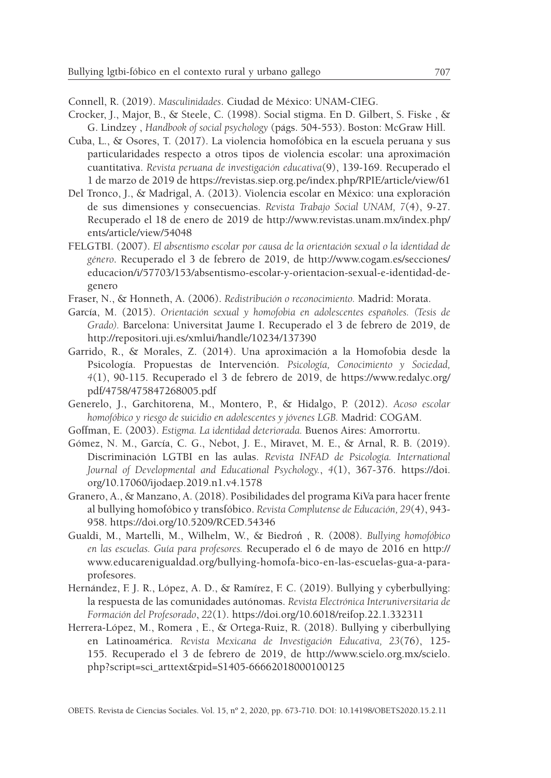Connell, R. (2019). *Masculinidades*. Ciudad de México: UNAM-CIEG.

- Crocker, J., Major, B., & Steele, C. (1998). Social stigma. En D. Gilbert, S. Fiske , & G. Lindzey , *Handbook of social psychology* (págs. 504-553). Boston: McGraw Hill.
- Cuba, L., & Osores, T. (2017). La violencia homofóbica en la escuela peruana y sus particularidades respecto a otros tipos de violencia escolar: una aproximación cuantitativa. *Revista peruana de investigación educativa*(9), 139-169. Recuperado el 1 de marzo de 2019 de https://revistas.siep.org.pe/index.php/RPIE/article/view/61
- Del Tronco, J., & Madrigal, A. (2013). Violencia escolar en México: una exploración de sus dimensiones y consecuencias. *Revista Trabajo Social UNAM, 7*(4), 9-27. Recuperado el 18 de enero de 2019 de http://www.revistas.unam.mx/index.php/ ents/article/view/54048
- FELGTBI. (2007). *El absentismo escolar por causa de la orientación sexual o la identidad de género*. Recuperado el 3 de febrero de 2019, de http://www.cogam.es/secciones/ educacion/i/57703/153/absentismo-escolar-y-orientacion-sexual-e-identidad-degenero
- Fraser, N., & Honneth, A. (2006). *Redistribución o reconocimiento.* Madrid: Morata.
- García, M. (2015). *Orientación sexual y homofobia en adolescentes españoles. (Tesis de Grado).* Barcelona: Universitat Jaume I. Recuperado el 3 de febrero de 2019, de http://repositori.uji.es/xmlui/handle/10234/137390
- Garrido, R., & Morales, Z. (2014). Una aproximación a la Homofobia desde la Psicología. Propuestas de Intervención. *Psicología, Conocimiento y Sociedad, 4*(1), 90-115. Recuperado el 3 de febrero de 2019, de https://www.redalyc.org/ pdf/4758/475847268005.pdf
- Generelo, J., Garchitorena, M., Montero, P., & Hidalgo, P. (2012). *Acoso escolar homofóbico y riesgo de suicidio en adolescentes y jóvenes LGB.* Madrid: COGAM.
- Goffman, E. (2003). *Estigma. La identidad deteriorada.* Buenos Aires: Amorrortu.
- Gómez, N. M., García, C. G., Nebot, J. E., Miravet, M. E., & Arnal, R. B. (2019). Discriminación LGTBI en las aulas. *Revista INFAD de Psicología. International Journal of Developmental and Educational Psychology.*, *4*(1), 367-376. https://doi. org/10.17060/ijodaep.2019.n1.v4.1578
- Granero, A., & Manzano, A. (2018). Posibilidades del programa KiVa para hacer frente al bullying homofóbico y transfóbico. *Revista Complutense de Educación, 29*(4), 943- 958. https://doi.org/10.5209/RCED.54346
- Gualdi, M., Martelli, M., Wilhelm, W., & Biedroń , R. (2008). *Bullying homofóbico en las escuelas. Guía para profesores.* Recuperado el 6 de mayo de 2016 en http:// www.educarenigualdad.org/bullying-homofa-bico-en-las-escuelas-gua-a-paraprofesores.
- Hernández, F. J. R., López, A. D., & Ramírez, F. C. (2019). Bullying y cyberbullying: la respuesta de las comunidades autónomas. *Revista Electrónica Interuniversitaria de Formación del Profesorado*, *22*(1). https://doi.org/10.6018/reifop.22.1.332311
- Herrera-López, M., Romera , E., & Ortega-Ruiz, R. (2018). Bullying y ciberbullying en Latinoamérica. *Revista Mexicana de Investigación Educativa, 23*(76), 125- 155. Recuperado el 3 de febrero de 2019, de http://www.scielo.org.mx/scielo. php?script=sci\_arttext&pid=S1405-66662018000100125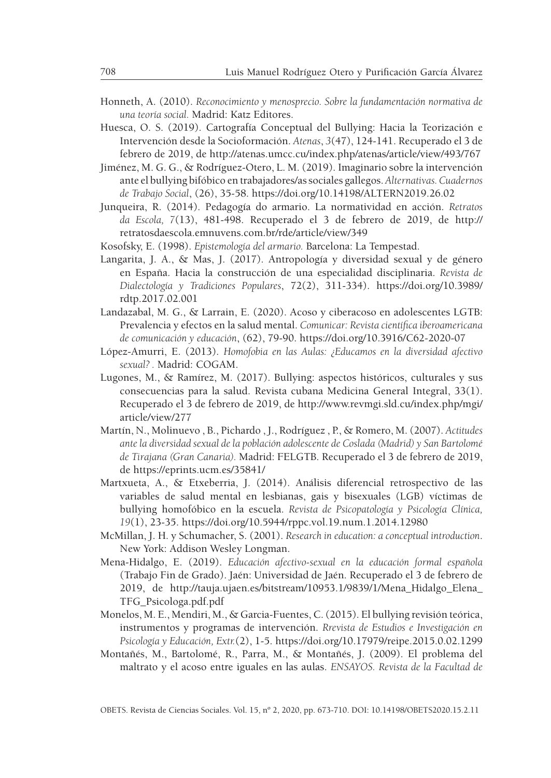- Honneth, A. (2010). *Reconocimiento y menosprecio. Sobre la fundamentación normativa de una teoría social.* Madrid: Katz Editores.
- Huesca, O. S. (2019). Cartografía Conceptual del Bullying: Hacia la Teorización e Intervención desde la Socioformación. *Atenas*, *3*(47), 124-141. Recuperado el 3 de febrero de 2019, de http://atenas.umcc.cu/index.php/atenas/article/view/493/767
- Jiménez, M. G. G., & Rodríguez-Otero, L. M. (2019). Imaginario sobre la intervención ante el bullying bifóbico en trabajadores/as sociales gallegos. *Alternativas. Cuadernos de Trabajo Social*, (26), 35-58. https://doi.org/10.14198/ALTERN2019.26.02
- Junqueira, R. (2014). Pedagogía do armario. La normatividad en acción. *Retratos da Escola, 7*(13), 481-498. Recuperado el 3 de febrero de 2019, de http:// retratosdaescola.emnuvens.com.br/rde/article/view/349
- Kosofsky, E. (1998). *Epistemología del armario.* Barcelona: La Tempestad.
- Langarita, J. A., & Mas, J. (2017). Antropología y diversidad sexual y de género en España. Hacia la construcción de una especialidad disciplinaria. *Revista de Dialectología y Tradiciones Populares*, 72(2), 311-334). https://doi.org/10.3989/ rdtp.2017.02.001
- Landazabal, M. G., & Larrain, E. (2020). Acoso y ciberacoso en adolescentes LGTB: Prevalencia y efectos en la salud mental. *Comunicar: Revista científica iberoamericana de comunicación y educación*, (62), 79-90. https://doi.org/10.3916/C62-2020-07
- López-Amurri, E. (2013). *Homofobia en las Aulas: ¿Educamos en la diversidad afectivo sexual? .* Madrid: COGAM.
- Lugones, M., & Ramírez, M. (2017). Bullying: aspectos históricos, culturales y sus consecuencias para la salud. Revista cubana Medicina General Integral, 33(1). Recuperado el 3 de febrero de 2019, de http://www.revmgi.sld.cu/index.php/mgi/ article/view/277
- Martín, N., Molinuevo , B., Pichardo , J., Rodríguez , P., & Romero, M. (2007). *Actitudes ante la diversidad sexual de la población adolescente de Coslada (Madrid) y San Bartolomé de Tirajana (Gran Canaria).* Madrid: FELGTB. Recuperado el 3 de febrero de 2019, de https://eprints.ucm.es/35841/
- Martxueta, A., & Etxeberria, J. (2014). Análisis diferencial retrospectivo de las variables de salud mental en lesbianas, gais y bisexuales (LGB) víctimas de bullying homofóbico en la escuela. *Revista de Psicopatología y Psicología Clínica, 19*(1), 23-35. https://doi.org/10.5944/rppc.vol.19.num.1.2014.12980
- McMillan, J. H. y Schumacher, S. (2001). *Research in education: a conceptual introduction*. New York: Addison Wesley Longman.
- Mena-Hidalgo, E. (2019). *Educación afectivo-sexual en la educación formal española* (Trabajo Fin de Grado). Jaén: Universidad de Jaén. Recuperado el 3 de febrero de 2019, de http://tauja.ujaen.es/bitstream/10953.1/9839/1/Mena\_Hidalgo\_Elena\_ TFG\_Psicologa.pdf.pdf
- Monelos, M. E., Mendiri, M., & Garcia-Fuentes, C. (2015). El bullying revisión teórica, instrumentos y programas de intervención. *Rrevista de Estudios e Investigación en Psicología y Educación, Extr.*(2), 1-5. https://doi.org/10.17979/reipe.2015.0.02.1299
- Montañés, M., Bartolomé, R., Parra, M., & Montañés, J. (2009). El problema del maltrato y el acoso entre iguales en las aulas. *ENSAYOS. Revista de la Facultad de*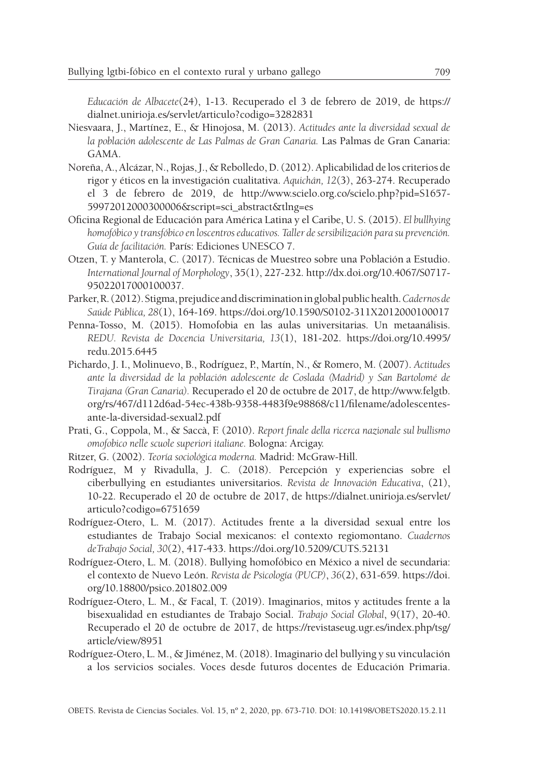*Educación de Albacete*(24), 1-13. Recuperado el 3 de febrero de 2019, de https:// dialnet.unirioja.es/servlet/articulo?codigo=3282831

- Niesvaara, J., Martínez, E., & Hinojosa, M. (2013). *Actitudes ante la diversidad sexual de la población adolescente de Las Palmas de Gran Canaria.* Las Palmas de Gran Canaria: GAMA.
- Noreña, A., Alcázar, N., Rojas, J., & Rebolledo, D. (2012). Aplicabilidad de los criterios de rigor y éticos en la investigación cualitativa. *Aquichán, 12*(3), 263-274. Recuperado el 3 de febrero de 2019, de http://www.scielo.org.co/scielo.php?pid=S1657- 59972012000300006&script=sci\_abstract&tlng=es
- Oficina Regional de Educación para América Latina y el Caribe, U. S. (2015). *El bullhying homofóbico y transfóbico en loscentros educativos. Taller de sersibilización para su prevención. Guía de facilitación.* París: Ediciones UNESCO 7.
- Otzen, T. y Manterola, C. (2017). Técnicas de Muestreo sobre una Población a Estudio. *International Journal of Morphology*, 35(1), 227-232. http://dx.doi.org/10.4067/S0717- 95022017000100037.
- Parker, R. (2012). Stigma, prejudice and discrimination in global public health. *Cadernos de Saúde Pública, 28*(1), 164-169. https://doi.org/10.1590/S0102-311X2012000100017
- Penna-Tosso, M. (2015). Homofobia en las aulas universitarias. Un metaanálisis. *REDU. Revista de Docencia Universitaria, 13*(1), 181-202. https://doi.org/10.4995/ redu.2015.6445
- Pichardo, J. I., Molinuevo, B., Rodríguez, P., Martín, N., & Romero, M. (2007). *Actitudes ante la diversidad de la población adolescente de Coslada (Madrid) y San Bartolomé de Tirajana (Gran Canaria).* Recuperado el 20 de octubre de 2017, de http://www.felgtb. org/rs/467/d112d6ad-54ec-438b-9358-4483f9e98868/c11/filename/adolescentesante-la-diversidad-sexual2.pdf
- Prati, G., Coppola, M., & Saccà, F. (2010). *Report finale della ricerca nazionale sul bullismo omofobico nelle scuole superiori italiane.* Bologna: Arcigay.
- Ritzer, G. (2002). *Teoría sociológica moderna.* Madrid: McGraw-Hill.
- Rodríguez, M y Rivadulla, J. C. (2018). Percepción y experiencias sobre el ciberbullying en estudiantes universitarios. *Revista de Innovación Educativa*, (21), 10-22. Recuperado el 20 de octubre de 2017, de https://dialnet.unirioja.es/servlet/ articulo?codigo=6751659
- Rodríguez-Otero, L. M. (2017). Actitudes frente a la diversidad sexual entre los estudiantes de Trabajo Social mexicanos: el contexto regiomontano. *Cuadernos deTrabajo Social, 30*(2), 417-433. https://doi.org/10.5209/CUTS.52131
- Rodríguez-Otero, L. M. (2018). Bullying homofóbico en México a nivel de secundaria: el contexto de Nuevo León. *Revista de Psicología (PUCP)*, *36*(2), 631-659. https://doi. org/10.18800/psico.201802.009
- Rodríguez-Otero, L. M., & Facal, T. (2019). Imaginarios, mitos y actitudes frente a la bisexualidad en estudiantes de Trabajo Social. *Trabajo Social Global*, 9(17), 20-40. Recuperado el 20 de octubre de 2017, de https://revistaseug.ugr.es/index.php/tsg/ article/view/8951
- Rodríguez-Otero, L. M., & Jiménez, M. (2018). Imaginario del bullying y su vinculación a los servicios sociales. Voces desde futuros docentes de Educación Primaria.